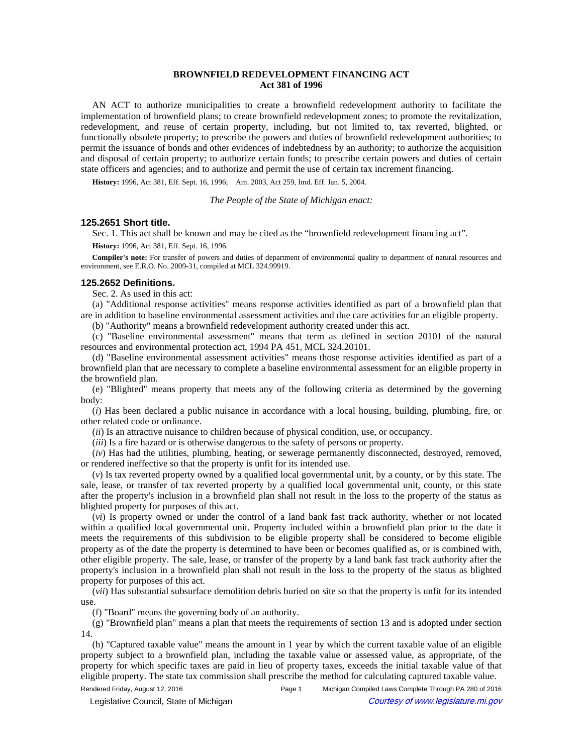## **BROWNFIELD REDEVELOPMENT FINANCING ACT Act 381 of 1996**

AN ACT to authorize municipalities to create a brownfield redevelopment authority to facilitate the implementation of brownfield plans; to create brownfield redevelopment zones; to promote the revitalization, redevelopment, and reuse of certain property, including, but not limited to, tax reverted, blighted, or functionally obsolete property; to prescribe the powers and duties of brownfield redevelopment authorities; to permit the issuance of bonds and other evidences of indebtedness by an authority; to authorize the acquisition and disposal of certain property; to authorize certain funds; to prescribe certain powers and duties of certain state officers and agencies; and to authorize and permit the use of certain tax increment financing.

History: 1996, Act 381, Eff. Sept. 16, 1996;—Am. 2003, Act 259, Imd. Eff. Jan. 5, 2004.

*The People of the State of Michigan enact:*

## **125.2651 Short title.**

Sec. 1. This act shall be known and may be cited as the "brownfield redevelopment financing act".

**History:** 1996, Act 381, Eff. Sept. 16, 1996.

**Compiler's note:** For transfer of powers and duties of department of environmental quality to department of natural resources and environment, see E.R.O. No. 2009-31, compiled at MCL 324.99919.

## **125.2652 Definitions.**

Sec. 2. As used in this act:

(a) "Additional response activities" means response activities identified as part of a brownfield plan that are in addition to baseline environmental assessment activities and due care activities for an eligible property.

(b) "Authority" means a brownfield redevelopment authority created under this act.

(c) "Baseline environmental assessment" means that term as defined in section 20101 of the natural resources and environmental protection act, 1994 PA 451, MCL 324.20101.

(d) "Baseline environmental assessment activities" means those response activities identified as part of a brownfield plan that are necessary to complete a baseline environmental assessment for an eligible property in the brownfield plan.

(e) "Blighted" means property that meets any of the following criteria as determined by the governing body:

(*i*) Has been declared a public nuisance in accordance with a local housing, building, plumbing, fire, or other related code or ordinance.

(*ii*) Is an attractive nuisance to children because of physical condition, use, or occupancy.

(*iii*) Is a fire hazard or is otherwise dangerous to the safety of persons or property.

(*iv*) Has had the utilities, plumbing, heating, or sewerage permanently disconnected, destroyed, removed, or rendered ineffective so that the property is unfit for its intended use.

(*v*) Is tax reverted property owned by a qualified local governmental unit, by a county, or by this state. The sale, lease, or transfer of tax reverted property by a qualified local governmental unit, county, or this state after the property's inclusion in a brownfield plan shall not result in the loss to the property of the status as blighted property for purposes of this act.

(*vi*) Is property owned or under the control of a land bank fast track authority, whether or not located within a qualified local governmental unit. Property included within a brownfield plan prior to the date it meets the requirements of this subdivision to be eligible property shall be considered to become eligible property as of the date the property is determined to have been or becomes qualified as, or is combined with, other eligible property. The sale, lease, or transfer of the property by a land bank fast track authority after the property's inclusion in a brownfield plan shall not result in the loss to the property of the status as blighted property for purposes of this act.

(*vii*) Has substantial subsurface demolition debris buried on site so that the property is unfit for its intended use.

(f) "Board" means the governing body of an authority.

(g) "Brownfield plan" means a plan that meets the requirements of section 13 and is adopted under section 14.

(h) "Captured taxable value" means the amount in 1 year by which the current taxable value of an eligible property subject to a brownfield plan, including the taxable value or assessed value, as appropriate, of the property for which specific taxes are paid in lieu of property taxes, exceeds the initial taxable value of that eligible property. The state tax commission shall prescribe the method for calculating captured taxable value.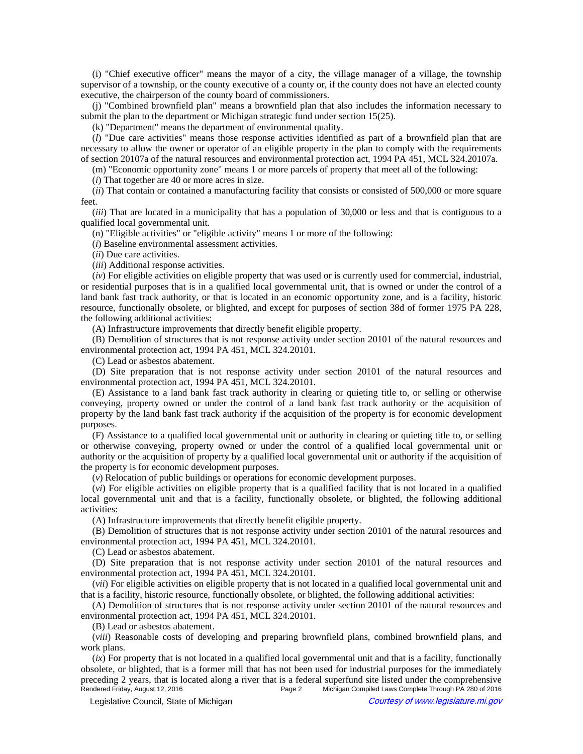(i) "Chief executive officer" means the mayor of a city, the village manager of a village, the township supervisor of a township, or the county executive of a county or, if the county does not have an elected county executive, the chairperson of the county board of commissioners.

(j) "Combined brownfield plan" means a brownfield plan that also includes the information necessary to submit the plan to the department or Michigan strategic fund under section 15(25).

(k) "Department" means the department of environmental quality.

(*l*) "Due care activities" means those response activities identified as part of a brownfield plan that are necessary to allow the owner or operator of an eligible property in the plan to comply with the requirements of section 20107a of the natural resources and environmental protection act, 1994 PA 451, MCL 324.20107a.

(m) "Economic opportunity zone" means 1 or more parcels of property that meet all of the following:

(*i*) That together are 40 or more acres in size.

(*ii*) That contain or contained a manufacturing facility that consists or consisted of 500,000 or more square feet.

(*iii*) That are located in a municipality that has a population of 30,000 or less and that is contiguous to a qualified local governmental unit.

(n) "Eligible activities" or "eligible activity" means 1 or more of the following:

(*i*) Baseline environmental assessment activities.

(*ii*) Due care activities.

(*iii*) Additional response activities.

(*iv*) For eligible activities on eligible property that was used or is currently used for commercial, industrial, or residential purposes that is in a qualified local governmental unit, that is owned or under the control of a land bank fast track authority, or that is located in an economic opportunity zone, and is a facility, historic resource, functionally obsolete, or blighted, and except for purposes of section 38d of former 1975 PA 228, the following additional activities:

(A) Infrastructure improvements that directly benefit eligible property.

(B) Demolition of structures that is not response activity under section 20101 of the natural resources and environmental protection act, 1994 PA 451, MCL 324.20101.

(C) Lead or asbestos abatement.

(D) Site preparation that is not response activity under section 20101 of the natural resources and environmental protection act, 1994 PA 451, MCL 324.20101.

(E) Assistance to a land bank fast track authority in clearing or quieting title to, or selling or otherwise conveying, property owned or under the control of a land bank fast track authority or the acquisition of property by the land bank fast track authority if the acquisition of the property is for economic development purposes.

(F) Assistance to a qualified local governmental unit or authority in clearing or quieting title to, or selling or otherwise conveying, property owned or under the control of a qualified local governmental unit or authority or the acquisition of property by a qualified local governmental unit or authority if the acquisition of the property is for economic development purposes.

(*v*) Relocation of public buildings or operations for economic development purposes.

(*vi*) For eligible activities on eligible property that is a qualified facility that is not located in a qualified local governmental unit and that is a facility, functionally obsolete, or blighted, the following additional activities:

(A) Infrastructure improvements that directly benefit eligible property.

(B) Demolition of structures that is not response activity under section 20101 of the natural resources and environmental protection act, 1994 PA 451, MCL 324.20101.

(C) Lead or asbestos abatement.

(D) Site preparation that is not response activity under section 20101 of the natural resources and environmental protection act, 1994 PA 451, MCL 324.20101.

(*vii*) For eligible activities on eligible property that is not located in a qualified local governmental unit and that is a facility, historic resource, functionally obsolete, or blighted, the following additional activities:

(A) Demolition of structures that is not response activity under section 20101 of the natural resources and environmental protection act, 1994 PA 451, MCL 324.20101.

(B) Lead or asbestos abatement.

(*viii*) Reasonable costs of developing and preparing brownfield plans, combined brownfield plans, and work plans.

(*ix*) For property that is not located in a qualified local governmental unit and that is a facility, functionally obsolete, or blighted, that is a former mill that has not been used for industrial purposes for the immediately preceding 2 years, that is located along a river that is a federal superfund site listed under the comprehensive<br>Rendered Friday, August 12, 2016 Page 2 Michigan Compiled Laws Complete Through PA 280 of 2016 Michigan Compiled Laws Complete Through PA 280 of 2016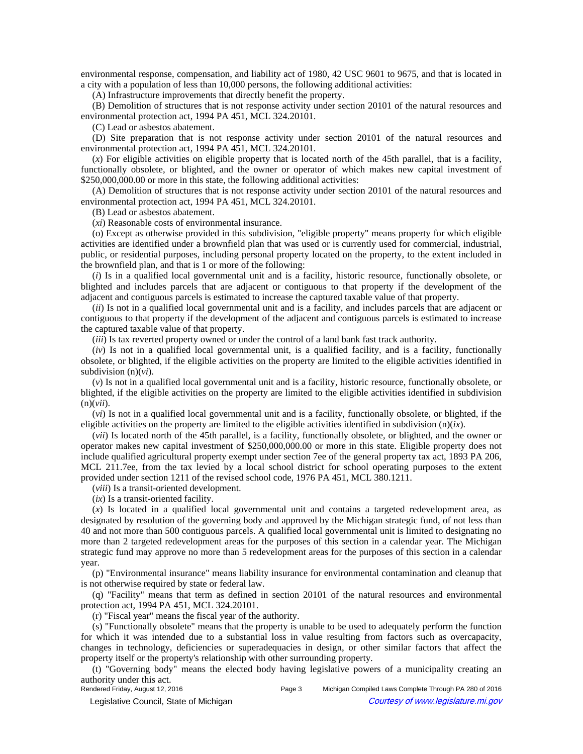environmental response, compensation, and liability act of 1980, 42 USC 9601 to 9675, and that is located in a city with a population of less than 10,000 persons, the following additional activities:

(A) Infrastructure improvements that directly benefit the property.

(B) Demolition of structures that is not response activity under section 20101 of the natural resources and environmental protection act, 1994 PA 451, MCL 324.20101.

(C) Lead or asbestos abatement.

(D) Site preparation that is not response activity under section 20101 of the natural resources and environmental protection act, 1994 PA 451, MCL 324.20101.

(*x*) For eligible activities on eligible property that is located north of the 45th parallel, that is a facility, functionally obsolete, or blighted, and the owner or operator of which makes new capital investment of \$250,000,000.00 or more in this state, the following additional activities:

(A) Demolition of structures that is not response activity under section 20101 of the natural resources and environmental protection act, 1994 PA 451, MCL 324.20101.

(B) Lead or asbestos abatement.

(*xi*) Reasonable costs of environmental insurance.

(o) Except as otherwise provided in this subdivision, "eligible property" means property for which eligible activities are identified under a brownfield plan that was used or is currently used for commercial, industrial, public, or residential purposes, including personal property located on the property, to the extent included in the brownfield plan, and that is 1 or more of the following:

(*i*) Is in a qualified local governmental unit and is a facility, historic resource, functionally obsolete, or blighted and includes parcels that are adjacent or contiguous to that property if the development of the adjacent and contiguous parcels is estimated to increase the captured taxable value of that property.

(*ii*) Is not in a qualified local governmental unit and is a facility, and includes parcels that are adjacent or contiguous to that property if the development of the adjacent and contiguous parcels is estimated to increase the captured taxable value of that property.

(*iii*) Is tax reverted property owned or under the control of a land bank fast track authority.

(*iv*) Is not in a qualified local governmental unit, is a qualified facility, and is a facility, functionally obsolete, or blighted, if the eligible activities on the property are limited to the eligible activities identified in subdivision (n)(*vi*).

(*v*) Is not in a qualified local governmental unit and is a facility, historic resource, functionally obsolete, or blighted, if the eligible activities on the property are limited to the eligible activities identified in subdivision (n)(*vii*).

(*vi*) Is not in a qualified local governmental unit and is a facility, functionally obsolete, or blighted, if the eligible activities on the property are limited to the eligible activities identified in subdivision (n)(*ix*).

(*vii*) Is located north of the 45th parallel, is a facility, functionally obsolete, or blighted, and the owner or operator makes new capital investment of \$250,000,000.00 or more in this state. Eligible property does not include qualified agricultural property exempt under section 7ee of the general property tax act, 1893 PA 206, MCL 211.7ee, from the tax levied by a local school district for school operating purposes to the extent provided under section 1211 of the revised school code, 1976 PA 451, MCL 380.1211.

(*viii*) Is a transit-oriented development.

(*ix*) Is a transit-oriented facility.

(*x*) Is located in a qualified local governmental unit and contains a targeted redevelopment area, as designated by resolution of the governing body and approved by the Michigan strategic fund, of not less than 40 and not more than 500 contiguous parcels. A qualified local governmental unit is limited to designating no more than 2 targeted redevelopment areas for the purposes of this section in a calendar year. The Michigan strategic fund may approve no more than 5 redevelopment areas for the purposes of this section in a calendar year.

(p) "Environmental insurance" means liability insurance for environmental contamination and cleanup that is not otherwise required by state or federal law.

(q) "Facility" means that term as defined in section 20101 of the natural resources and environmental protection act, 1994 PA 451, MCL 324.20101.

(r) "Fiscal year" means the fiscal year of the authority.

(s) "Functionally obsolete" means that the property is unable to be used to adequately perform the function for which it was intended due to a substantial loss in value resulting from factors such as overcapacity, changes in technology, deficiencies or superadequacies in design, or other similar factors that affect the property itself or the property's relationship with other surrounding property.

(t) "Governing body" means the elected body having legislative powers of a municipality creating an authority under this act.<br>Rendered Friday, August 12, 2016

© Legislative Council, State of Michigan Council Council Council Council Council Council Council Council Council Council Council Council Council Council Council Council Council Council Council Council Council Council Counc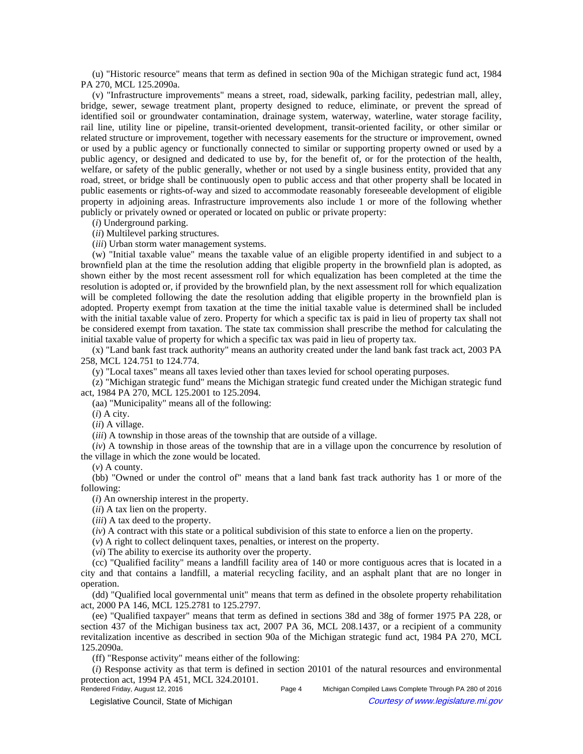(u) "Historic resource" means that term as defined in section 90a of the Michigan strategic fund act, 1984 PA 270, MCL 125.2090a.

(v) "Infrastructure improvements" means a street, road, sidewalk, parking facility, pedestrian mall, alley, bridge, sewer, sewage treatment plant, property designed to reduce, eliminate, or prevent the spread of identified soil or groundwater contamination, drainage system, waterway, waterline, water storage facility, rail line, utility line or pipeline, transit-oriented development, transit-oriented facility, or other similar or related structure or improvement, together with necessary easements for the structure or improvement, owned or used by a public agency or functionally connected to similar or supporting property owned or used by a public agency, or designed and dedicated to use by, for the benefit of, or for the protection of the health, welfare, or safety of the public generally, whether or not used by a single business entity, provided that any road, street, or bridge shall be continuously open to public access and that other property shall be located in public easements or rights-of-way and sized to accommodate reasonably foreseeable development of eligible property in adjoining areas. Infrastructure improvements also include 1 or more of the following whether publicly or privately owned or operated or located on public or private property:

(*i*) Underground parking.

(*ii*) Multilevel parking structures.

(*iii*) Urban storm water management systems.

(w) "Initial taxable value" means the taxable value of an eligible property identified in and subject to a brownfield plan at the time the resolution adding that eligible property in the brownfield plan is adopted, as shown either by the most recent assessment roll for which equalization has been completed at the time the resolution is adopted or, if provided by the brownfield plan, by the next assessment roll for which equalization will be completed following the date the resolution adding that eligible property in the brownfield plan is adopted. Property exempt from taxation at the time the initial taxable value is determined shall be included with the initial taxable value of zero. Property for which a specific tax is paid in lieu of property tax shall not be considered exempt from taxation. The state tax commission shall prescribe the method for calculating the initial taxable value of property for which a specific tax was paid in lieu of property tax.

(x) "Land bank fast track authority" means an authority created under the land bank fast track act, 2003 PA 258, MCL 124.751 to 124.774.

(y) "Local taxes" means all taxes levied other than taxes levied for school operating purposes.

(z) "Michigan strategic fund" means the Michigan strategic fund created under the Michigan strategic fund act, 1984 PA 270, MCL 125.2001 to 125.2094.

(aa) "Municipality" means all of the following:

(*i*) A city.

(*ii*) A village.

(*iii*) A township in those areas of the township that are outside of a village.

(*iv*) A township in those areas of the township that are in a village upon the concurrence by resolution of the village in which the zone would be located.

(*v*) A county.

(bb) "Owned or under the control of" means that a land bank fast track authority has 1 or more of the following:

(*i*) An ownership interest in the property.

(*ii*) A tax lien on the property.

(*iii*) A tax deed to the property.

(*iv*) A contract with this state or a political subdivision of this state to enforce a lien on the property.

(*v*) A right to collect delinquent taxes, penalties, or interest on the property.

(*vi*) The ability to exercise its authority over the property.

(cc) "Qualified facility" means a landfill facility area of 140 or more contiguous acres that is located in a city and that contains a landfill, a material recycling facility, and an asphalt plant that are no longer in operation.

(dd) "Qualified local governmental unit" means that term as defined in the obsolete property rehabilitation act, 2000 PA 146, MCL 125.2781 to 125.2797.

(ee) "Qualified taxpayer" means that term as defined in sections 38d and 38g of former 1975 PA 228, or section 437 of the Michigan business tax act, 2007 PA 36, MCL 208.1437, or a recipient of a community revitalization incentive as described in section 90a of the Michigan strategic fund act, 1984 PA 270, MCL 125.2090a.

(ff) "Response activity" means either of the following:

(*i*) Response activity as that term is defined in section 20101 of the natural resources and environmental protection act, 1994 PA 451, MCL 324.20101.<br>Rendered Friday, August 12, 2016

Page 4 Michigan Compiled Laws Complete Through PA 280 of 2016

© Legislative Council, State of Michigan Council Council Council Council Council Council Council Council Council Council Council Council Council Council Council Council Council Council Council Council Council Council Counc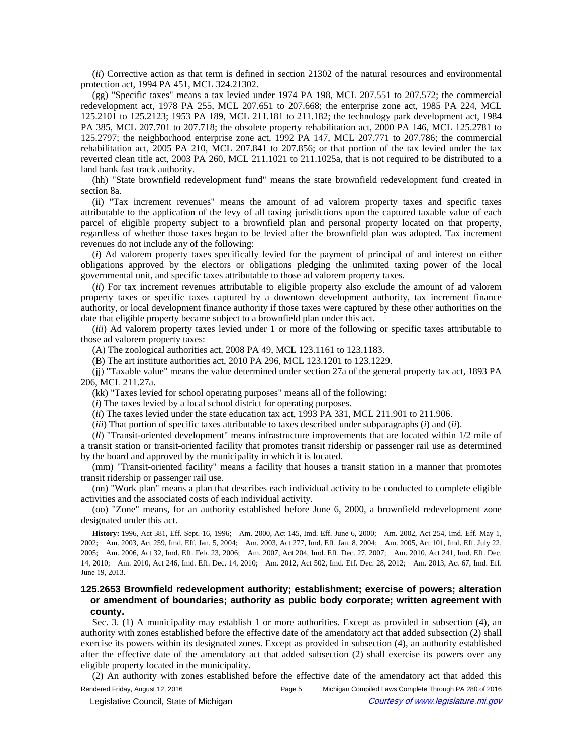(*ii*) Corrective action as that term is defined in section 21302 of the natural resources and environmental protection act, 1994 PA 451, MCL 324.21302.

(gg) "Specific taxes" means a tax levied under 1974 PA 198, MCL 207.551 to 207.572; the commercial redevelopment act, 1978 PA 255, MCL 207.651 to 207.668; the enterprise zone act, 1985 PA 224, MCL 125.2101 to 125.2123; 1953 PA 189, MCL 211.181 to 211.182; the technology park development act, 1984 PA 385, MCL 207.701 to 207.718; the obsolete property rehabilitation act, 2000 PA 146, MCL 125.2781 to 125.2797; the neighborhood enterprise zone act, 1992 PA 147, MCL 207.771 to 207.786; the commercial rehabilitation act, 2005 PA 210, MCL 207.841 to 207.856; or that portion of the tax levied under the tax reverted clean title act, 2003 PA 260, MCL 211.1021 to 211.1025a, that is not required to be distributed to a land bank fast track authority.

(hh) "State brownfield redevelopment fund" means the state brownfield redevelopment fund created in section 8a.

(ii) "Tax increment revenues" means the amount of ad valorem property taxes and specific taxes attributable to the application of the levy of all taxing jurisdictions upon the captured taxable value of each parcel of eligible property subject to a brownfield plan and personal property located on that property, regardless of whether those taxes began to be levied after the brownfield plan was adopted. Tax increment revenues do not include any of the following:

(*i*) Ad valorem property taxes specifically levied for the payment of principal of and interest on either obligations approved by the electors or obligations pledging the unlimited taxing power of the local governmental unit, and specific taxes attributable to those ad valorem property taxes.

(*ii*) For tax increment revenues attributable to eligible property also exclude the amount of ad valorem property taxes or specific taxes captured by a downtown development authority, tax increment finance authority, or local development finance authority if those taxes were captured by these other authorities on the date that eligible property became subject to a brownfield plan under this act.

(*iii*) Ad valorem property taxes levied under 1 or more of the following or specific taxes attributable to those ad valorem property taxes:

(A) The zoological authorities act, 2008 PA 49, MCL 123.1161 to 123.1183.

(B) The art institute authorities act, 2010 PA 296, MCL 123.1201 to 123.1229.

(jj) "Taxable value" means the value determined under section 27a of the general property tax act, 1893 PA 206, MCL 211.27a.

(kk) "Taxes levied for school operating purposes" means all of the following:

(*i*) The taxes levied by a local school district for operating purposes.

(*ii*) The taxes levied under the state education tax act, 1993 PA 331, MCL 211.901 to 211.906.

(*iii*) That portion of specific taxes attributable to taxes described under subparagraphs (*i*) and (*ii*).

(*ll*) "Transit-oriented development" means infrastructure improvements that are located within 1/2 mile of a transit station or transit-oriented facility that promotes transit ridership or passenger rail use as determined by the board and approved by the municipality in which it is located.

(mm) "Transit-oriented facility" means a facility that houses a transit station in a manner that promotes transit ridership or passenger rail use.

(nn) "Work plan" means a plan that describes each individual activity to be conducted to complete eligible activities and the associated costs of each individual activity.

(oo) "Zone" means, for an authority established before June 6, 2000, a brownfield redevelopment zone designated under this act.

History: 1996, Act 381, Eff. Sept. 16, 1996;-Am. 2000, Act 145, Imd. Eff. June 6, 2000;-Am. 2002, Act 254, Imd. Eff. May 1, 2002;--Am. 2003, Act 259, Imd. Eff. Jan. 5, 2004;--Am. 2003, Act 277, Imd. Eff. Jan. 8, 2004;--Am. 2005, Act 101, Imd. Eff. July 22, 2005;--Am. 2006, Act 32, Imd. Eff. Feb. 23, 2006;--Am. 2007, Act 204, Imd. Eff. Dec. 27, 2007;--Am. 2010, Act 241, Imd. Eff. Dec. 14, 2010;—Am. 2010, Act 246, Imd. Eff. Dec. 14, 2010;—Am. 2012, Act 502, Imd. Eff. Dec. 28, 2012;—Am. 2013, Act 67, Imd. Eff. June 19, 2013.

## **125.2653 Brownfield redevelopment authority; establishment; exercise of powers; alteration or amendment of boundaries; authority as public body corporate; written agreement with county.**

Sec. 3. (1) A municipality may establish 1 or more authorities. Except as provided in subsection (4), an authority with zones established before the effective date of the amendatory act that added subsection (2) shall exercise its powers within its designated zones. Except as provided in subsection (4), an authority established after the effective date of the amendatory act that added subsection (2) shall exercise its powers over any eligible property located in the municipality.

(2) An authority with zones established before the effective date of the amendatory act that added this Rendered Friday, August 12, 2016 Page 5 Michigan Compiled Laws Complete Through PA 280 of 2016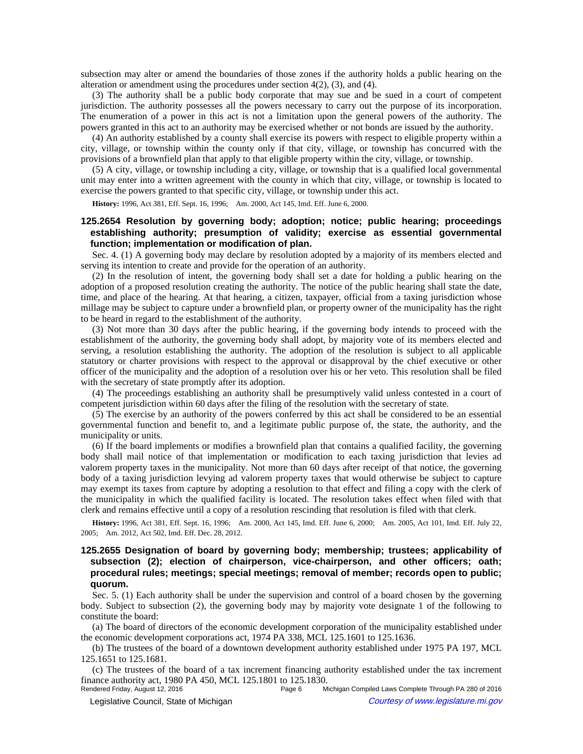subsection may alter or amend the boundaries of those zones if the authority holds a public hearing on the alteration or amendment using the procedures under section 4(2), (3), and (4).

(3) The authority shall be a public body corporate that may sue and be sued in a court of competent jurisdiction. The authority possesses all the powers necessary to carry out the purpose of its incorporation. The enumeration of a power in this act is not a limitation upon the general powers of the authority. The powers granted in this act to an authority may be exercised whether or not bonds are issued by the authority.

(4) An authority established by a county shall exercise its powers with respect to eligible property within a city, village, or township within the county only if that city, village, or township has concurred with the provisions of a brownfield plan that apply to that eligible property within the city, village, or township.

(5) A city, village, or township including a city, village, or township that is a qualified local governmental unit may enter into a written agreement with the county in which that city, village, or township is located to exercise the powers granted to that specific city, village, or township under this act.

**History:** 1996, Act 381, Eff. Sept. 16, 1996;—Am. 2000, Act 145, Imd. Eff. June 6, 2000.

## **125.2654 Resolution by governing body; adoption; notice; public hearing; proceedings establishing authority; presumption of validity; exercise as essential governmental function; implementation or modification of plan.**

Sec. 4. (1) A governing body may declare by resolution adopted by a majority of its members elected and serving its intention to create and provide for the operation of an authority.

(2) In the resolution of intent, the governing body shall set a date for holding a public hearing on the adoption of a proposed resolution creating the authority. The notice of the public hearing shall state the date, time, and place of the hearing. At that hearing, a citizen, taxpayer, official from a taxing jurisdiction whose millage may be subject to capture under a brownfield plan, or property owner of the municipality has the right to be heard in regard to the establishment of the authority.

(3) Not more than 30 days after the public hearing, if the governing body intends to proceed with the establishment of the authority, the governing body shall adopt, by majority vote of its members elected and serving, a resolution establishing the authority. The adoption of the resolution is subject to all applicable statutory or charter provisions with respect to the approval or disapproval by the chief executive or other officer of the municipality and the adoption of a resolution over his or her veto. This resolution shall be filed with the secretary of state promptly after its adoption.

(4) The proceedings establishing an authority shall be presumptively valid unless contested in a court of competent jurisdiction within 60 days after the filing of the resolution with the secretary of state.

(5) The exercise by an authority of the powers conferred by this act shall be considered to be an essential governmental function and benefit to, and a legitimate public purpose of, the state, the authority, and the municipality or units.

(6) If the board implements or modifies a brownfield plan that contains a qualified facility, the governing body shall mail notice of that implementation or modification to each taxing jurisdiction that levies ad valorem property taxes in the municipality. Not more than 60 days after receipt of that notice, the governing body of a taxing jurisdiction levying ad valorem property taxes that would otherwise be subject to capture may exempt its taxes from capture by adopting a resolution to that effect and filing a copy with the clerk of the municipality in which the qualified facility is located. The resolution takes effect when filed with that clerk and remains effective until a copy of a resolution rescinding that resolution is filed with that clerk.

History: 1996, Act 381, Eff. Sept. 16, 1996;—Am. 2000, Act 145, Imd. Eff. June 6, 2000;—Am. 2005, Act 101, Imd. Eff. July 22, 2005; Am. 2012, Act 502, Imd. Eff. Dec. 28, 2012.

# **125.2655 Designation of board by governing body; membership; trustees; applicability of subsection (2); election of chairperson, vice-chairperson, and other officers; oath; procedural rules; meetings; special meetings; removal of member; records open to public; quorum.**

Sec. 5. (1) Each authority shall be under the supervision and control of a board chosen by the governing body. Subject to subsection (2), the governing body may by majority vote designate 1 of the following to constitute the board:

(a) The board of directors of the economic development corporation of the municipality established under the economic development corporations act, 1974 PA 338, MCL 125.1601 to 125.1636.

(b) The trustees of the board of a downtown development authority established under 1975 PA 197, MCL 125.1651 to 125.1681.

(c) The trustees of the board of a tax increment financing authority established under the tax increment finance authority act, 1980 PA 450, MCL 125.1801 to 125.1830.

Michigan Compiled Laws Complete Through PA 280 of 2016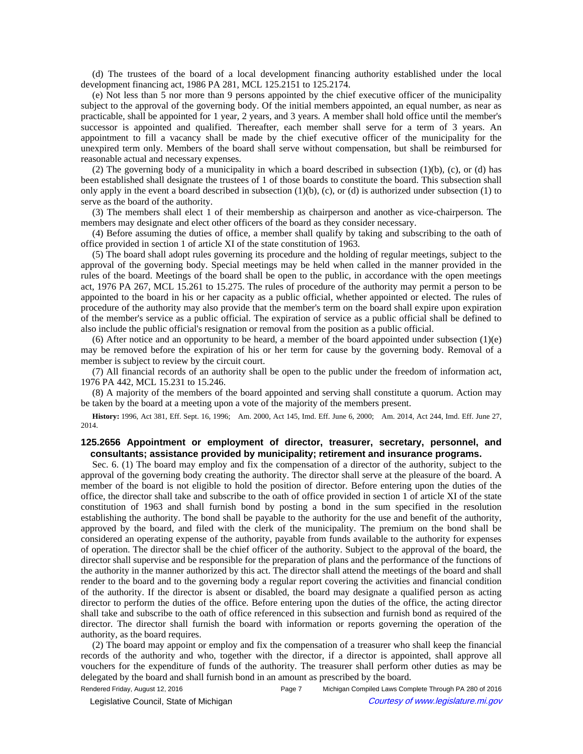(d) The trustees of the board of a local development financing authority established under the local development financing act, 1986 PA 281, MCL 125.2151 to 125.2174.

(e) Not less than 5 nor more than 9 persons appointed by the chief executive officer of the municipality subject to the approval of the governing body. Of the initial members appointed, an equal number, as near as practicable, shall be appointed for 1 year, 2 years, and 3 years. A member shall hold office until the member's successor is appointed and qualified. Thereafter, each member shall serve for a term of 3 years. An appointment to fill a vacancy shall be made by the chief executive officer of the municipality for the unexpired term only. Members of the board shall serve without compensation, but shall be reimbursed for reasonable actual and necessary expenses.

(2) The governing body of a municipality in which a board described in subsection  $(1)(b)$ , (c), or (d) has been established shall designate the trustees of 1 of those boards to constitute the board. This subsection shall only apply in the event a board described in subsection  $(1)(b)$ ,  $(c)$ , or  $(d)$  is authorized under subsection  $(1)$  to serve as the board of the authority.

(3) The members shall elect 1 of their membership as chairperson and another as vice-chairperson. The members may designate and elect other officers of the board as they consider necessary.

(4) Before assuming the duties of office, a member shall qualify by taking and subscribing to the oath of office provided in section 1 of article XI of the state constitution of 1963.

(5) The board shall adopt rules governing its procedure and the holding of regular meetings, subject to the approval of the governing body. Special meetings may be held when called in the manner provided in the rules of the board. Meetings of the board shall be open to the public, in accordance with the open meetings act, 1976 PA 267, MCL 15.261 to 15.275. The rules of procedure of the authority may permit a person to be appointed to the board in his or her capacity as a public official, whether appointed or elected. The rules of procedure of the authority may also provide that the member's term on the board shall expire upon expiration of the member's service as a public official. The expiration of service as a public official shall be defined to also include the public official's resignation or removal from the position as a public official.

(6) After notice and an opportunity to be heard, a member of the board appointed under subsection  $(1)(e)$ may be removed before the expiration of his or her term for cause by the governing body. Removal of a member is subject to review by the circuit court.

(7) All financial records of an authority shall be open to the public under the freedom of information act, 1976 PA 442, MCL 15.231 to 15.246.

(8) A majority of the members of the board appointed and serving shall constitute a quorum. Action may be taken by the board at a meeting upon a vote of the majority of the members present.

History: 1996, Act 381, Eff. Sept. 16, 1996;—Am. 2000, Act 145, Imd. Eff. June 6, 2000;—Am. 2014, Act 244, Imd. Eff. June 27, 2014.

## **125.2656 Appointment or employment of director, treasurer, secretary, personnel, and consultants; assistance provided by municipality; retirement and insurance programs.**

Sec. 6. (1) The board may employ and fix the compensation of a director of the authority, subject to the approval of the governing body creating the authority. The director shall serve at the pleasure of the board. A member of the board is not eligible to hold the position of director. Before entering upon the duties of the office, the director shall take and subscribe to the oath of office provided in section 1 of article XI of the state constitution of 1963 and shall furnish bond by posting a bond in the sum specified in the resolution establishing the authority. The bond shall be payable to the authority for the use and benefit of the authority, approved by the board, and filed with the clerk of the municipality. The premium on the bond shall be considered an operating expense of the authority, payable from funds available to the authority for expenses of operation. The director shall be the chief officer of the authority. Subject to the approval of the board, the director shall supervise and be responsible for the preparation of plans and the performance of the functions of the authority in the manner authorized by this act. The director shall attend the meetings of the board and shall render to the board and to the governing body a regular report covering the activities and financial condition of the authority. If the director is absent or disabled, the board may designate a qualified person as acting director to perform the duties of the office. Before entering upon the duties of the office, the acting director shall take and subscribe to the oath of office referenced in this subsection and furnish bond as required of the director. The director shall furnish the board with information or reports governing the operation of the authority, as the board requires.

(2) The board may appoint or employ and fix the compensation of a treasurer who shall keep the financial records of the authority and who, together with the director, if a director is appointed, shall approve all vouchers for the expenditure of funds of the authority. The treasurer shall perform other duties as may be delegated by the board and shall furnish bond in an amount as prescribed by the board.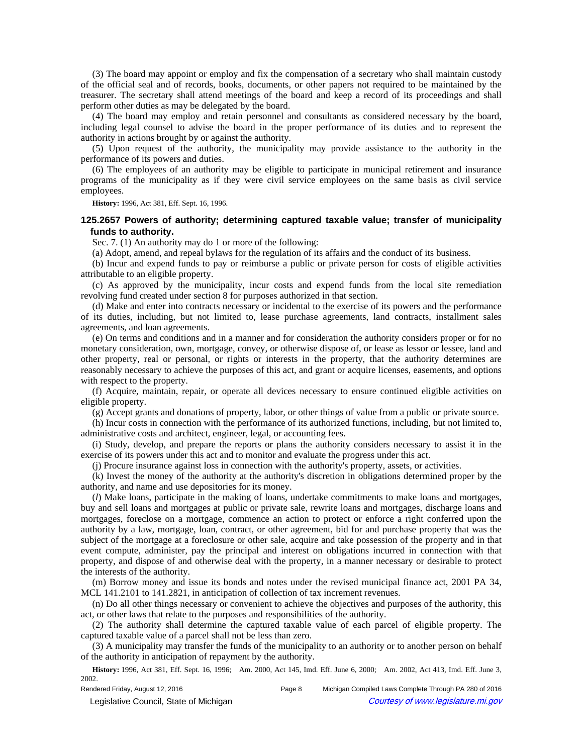(3) The board may appoint or employ and fix the compensation of a secretary who shall maintain custody of the official seal and of records, books, documents, or other papers not required to be maintained by the treasurer. The secretary shall attend meetings of the board and keep a record of its proceedings and shall perform other duties as may be delegated by the board.

(4) The board may employ and retain personnel and consultants as considered necessary by the board, including legal counsel to advise the board in the proper performance of its duties and to represent the authority in actions brought by or against the authority.

(5) Upon request of the authority, the municipality may provide assistance to the authority in the performance of its powers and duties.

(6) The employees of an authority may be eligible to participate in municipal retirement and insurance programs of the municipality as if they were civil service employees on the same basis as civil service employees.

**History:** 1996, Act 381, Eff. Sept. 16, 1996.

## **125.2657 Powers of authority; determining captured taxable value; transfer of municipality funds to authority.**

Sec. 7. (1) An authority may do 1 or more of the following:

(a) Adopt, amend, and repeal bylaws for the regulation of its affairs and the conduct of its business.

(b) Incur and expend funds to pay or reimburse a public or private person for costs of eligible activities attributable to an eligible property.

(c) As approved by the municipality, incur costs and expend funds from the local site remediation revolving fund created under section 8 for purposes authorized in that section.

(d) Make and enter into contracts necessary or incidental to the exercise of its powers and the performance of its duties, including, but not limited to, lease purchase agreements, land contracts, installment sales agreements, and loan agreements.

(e) On terms and conditions and in a manner and for consideration the authority considers proper or for no monetary consideration, own, mortgage, convey, or otherwise dispose of, or lease as lessor or lessee, land and other property, real or personal, or rights or interests in the property, that the authority determines are reasonably necessary to achieve the purposes of this act, and grant or acquire licenses, easements, and options with respect to the property.

(f) Acquire, maintain, repair, or operate all devices necessary to ensure continued eligible activities on eligible property.

(g) Accept grants and donations of property, labor, or other things of value from a public or private source.

(h) Incur costs in connection with the performance of its authorized functions, including, but not limited to, administrative costs and architect, engineer, legal, or accounting fees.

(i) Study, develop, and prepare the reports or plans the authority considers necessary to assist it in the exercise of its powers under this act and to monitor and evaluate the progress under this act.

(j) Procure insurance against loss in connection with the authority's property, assets, or activities.

(k) Invest the money of the authority at the authority's discretion in obligations determined proper by the authority, and name and use depositories for its money.

(*l*) Make loans, participate in the making of loans, undertake commitments to make loans and mortgages, buy and sell loans and mortgages at public or private sale, rewrite loans and mortgages, discharge loans and mortgages, foreclose on a mortgage, commence an action to protect or enforce a right conferred upon the authority by a law, mortgage, loan, contract, or other agreement, bid for and purchase property that was the subject of the mortgage at a foreclosure or other sale, acquire and take possession of the property and in that event compute, administer, pay the principal and interest on obligations incurred in connection with that property, and dispose of and otherwise deal with the property, in a manner necessary or desirable to protect the interests of the authority.

(m) Borrow money and issue its bonds and notes under the revised municipal finance act, 2001 PA 34, MCL 141.2101 to 141.2821, in anticipation of collection of tax increment revenues.

(n) Do all other things necessary or convenient to achieve the objectives and purposes of the authority, this act, or other laws that relate to the purposes and responsibilities of the authority.

(2) The authority shall determine the captured taxable value of each parcel of eligible property. The captured taxable value of a parcel shall not be less than zero.

(3) A municipality may transfer the funds of the municipality to an authority or to another person on behalf of the authority in anticipation of repayment by the authority.

History: 1996, Act 381, Eff. Sept. 16, 1996;—Am. 2000, Act 145, Imd. Eff. June 6, 2000;—Am. 2002, Act 413, Imd. Eff. June 3, 2002.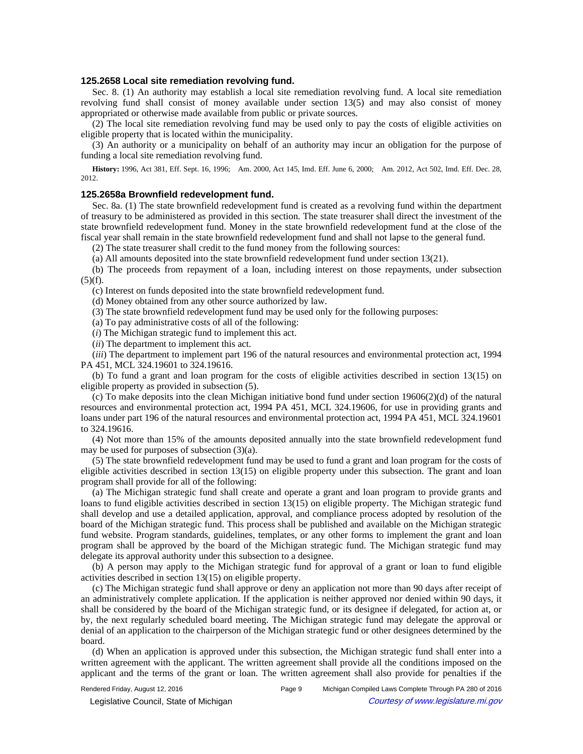### **125.2658 Local site remediation revolving fund.**

Sec. 8. (1) An authority may establish a local site remediation revolving fund. A local site remediation revolving fund shall consist of money available under section 13(5) and may also consist of money appropriated or otherwise made available from public or private sources.

(2) The local site remediation revolving fund may be used only to pay the costs of eligible activities on eligible property that is located within the municipality.

(3) An authority or a municipality on behalf of an authority may incur an obligation for the purpose of funding a local site remediation revolving fund.

History: 1996, Act 381, Eff. Sept. 16, 1996;—Am. 2000, Act 145, Imd. Eff. June 6, 2000;—Am. 2012, Act 502, Imd. Eff. Dec. 28, 2012.

### **125.2658a Brownfield redevelopment fund.**

Sec. 8a. (1) The state brownfield redevelopment fund is created as a revolving fund within the department of treasury to be administered as provided in this section. The state treasurer shall direct the investment of the state brownfield redevelopment fund. Money in the state brownfield redevelopment fund at the close of the fiscal year shall remain in the state brownfield redevelopment fund and shall not lapse to the general fund.

(2) The state treasurer shall credit to the fund money from the following sources:

(a) All amounts deposited into the state brownfield redevelopment fund under section 13(21).

(b) The proceeds from repayment of a loan, including interest on those repayments, under subsection  $(5)(f)$ .

(c) Interest on funds deposited into the state brownfield redevelopment fund.

(d) Money obtained from any other source authorized by law.

(3) The state brownfield redevelopment fund may be used only for the following purposes:

(a) To pay administrative costs of all of the following:

(*i*) The Michigan strategic fund to implement this act.

(*ii*) The department to implement this act.

(*iii*) The department to implement part 196 of the natural resources and environmental protection act, 1994 PA 451, MCL 324.19601 to 324.19616.

(b) To fund a grant and loan program for the costs of eligible activities described in section 13(15) on eligible property as provided in subsection (5).

(c) To make deposits into the clean Michigan initiative bond fund under section 19606(2)(d) of the natural resources and environmental protection act, 1994 PA 451, MCL 324.19606, for use in providing grants and loans under part 196 of the natural resources and environmental protection act, 1994 PA 451, MCL 324.19601 to 324.19616.

(4) Not more than 15% of the amounts deposited annually into the state brownfield redevelopment fund may be used for purposes of subsection (3)(a).

(5) The state brownfield redevelopment fund may be used to fund a grant and loan program for the costs of eligible activities described in section 13(15) on eligible property under this subsection. The grant and loan program shall provide for all of the following:

(a) The Michigan strategic fund shall create and operate a grant and loan program to provide grants and loans to fund eligible activities described in section 13(15) on eligible property. The Michigan strategic fund shall develop and use a detailed application, approval, and compliance process adopted by resolution of the board of the Michigan strategic fund. This process shall be published and available on the Michigan strategic fund website. Program standards, guidelines, templates, or any other forms to implement the grant and loan program shall be approved by the board of the Michigan strategic fund. The Michigan strategic fund may delegate its approval authority under this subsection to a designee.

(b) A person may apply to the Michigan strategic fund for approval of a grant or loan to fund eligible activities described in section 13(15) on eligible property.

(c) The Michigan strategic fund shall approve or deny an application not more than 90 days after receipt of an administratively complete application. If the application is neither approved nor denied within 90 days, it shall be considered by the board of the Michigan strategic fund, or its designee if delegated, for action at, or by, the next regularly scheduled board meeting. The Michigan strategic fund may delegate the approval or denial of an application to the chairperson of the Michigan strategic fund or other designees determined by the board.

(d) When an application is approved under this subsection, the Michigan strategic fund shall enter into a written agreement with the applicant. The written agreement shall provide all the conditions imposed on the applicant and the terms of the grant or loan. The written agreement shall also provide for penalties if the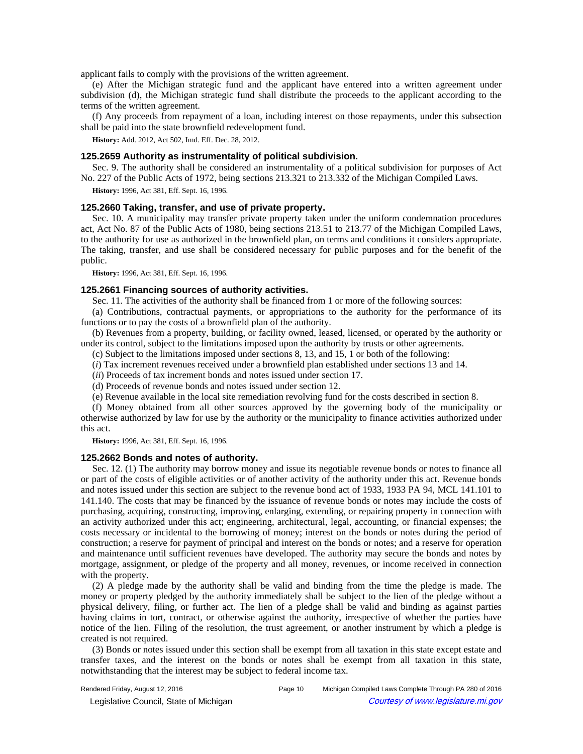applicant fails to comply with the provisions of the written agreement.

(e) After the Michigan strategic fund and the applicant have entered into a written agreement under subdivision (d), the Michigan strategic fund shall distribute the proceeds to the applicant according to the terms of the written agreement.

(f) Any proceeds from repayment of a loan, including interest on those repayments, under this subsection shall be paid into the state brownfield redevelopment fund.

**History:** Add. 2012, Act 502, Imd. Eff. Dec. 28, 2012.

### **125.2659 Authority as instrumentality of political subdivision.**

Sec. 9. The authority shall be considered an instrumentality of a political subdivision for purposes of Act No. 227 of the Public Acts of 1972, being sections 213.321 to 213.332 of the Michigan Compiled Laws.

**History:** 1996, Act 381, Eff. Sept. 16, 1996.

#### **125.2660 Taking, transfer, and use of private property.**

Sec. 10. A municipality may transfer private property taken under the uniform condemnation procedures act, Act No. 87 of the Public Acts of 1980, being sections 213.51 to 213.77 of the Michigan Compiled Laws, to the authority for use as authorized in the brownfield plan, on terms and conditions it considers appropriate. The taking, transfer, and use shall be considered necessary for public purposes and for the benefit of the public.

**History:** 1996, Act 381, Eff. Sept. 16, 1996.

### **125.2661 Financing sources of authority activities.**

Sec. 11. The activities of the authority shall be financed from 1 or more of the following sources:

(a) Contributions, contractual payments, or appropriations to the authority for the performance of its functions or to pay the costs of a brownfield plan of the authority.

(b) Revenues from a property, building, or facility owned, leased, licensed, or operated by the authority or under its control, subject to the limitations imposed upon the authority by trusts or other agreements.

(c) Subject to the limitations imposed under sections 8, 13, and 15, 1 or both of the following:

(*i*) Tax increment revenues received under a brownfield plan established under sections 13 and 14.

(*ii*) Proceeds of tax increment bonds and notes issued under section 17.

(d) Proceeds of revenue bonds and notes issued under section 12.

(e) Revenue available in the local site remediation revolving fund for the costs described in section 8.

(f) Money obtained from all other sources approved by the governing body of the municipality or otherwise authorized by law for use by the authority or the municipality to finance activities authorized under this act.

**History:** 1996, Act 381, Eff. Sept. 16, 1996.

### **125.2662 Bonds and notes of authority.**

Sec. 12. (1) The authority may borrow money and issue its negotiable revenue bonds or notes to finance all or part of the costs of eligible activities or of another activity of the authority under this act. Revenue bonds and notes issued under this section are subject to the revenue bond act of 1933, 1933 PA 94, MCL 141.101 to 141.140. The costs that may be financed by the issuance of revenue bonds or notes may include the costs of purchasing, acquiring, constructing, improving, enlarging, extending, or repairing property in connection with an activity authorized under this act; engineering, architectural, legal, accounting, or financial expenses; the costs necessary or incidental to the borrowing of money; interest on the bonds or notes during the period of construction; a reserve for payment of principal and interest on the bonds or notes; and a reserve for operation and maintenance until sufficient revenues have developed. The authority may secure the bonds and notes by mortgage, assignment, or pledge of the property and all money, revenues, or income received in connection with the property.

(2) A pledge made by the authority shall be valid and binding from the time the pledge is made. The money or property pledged by the authority immediately shall be subject to the lien of the pledge without a physical delivery, filing, or further act. The lien of a pledge shall be valid and binding as against parties having claims in tort, contract, or otherwise against the authority, irrespective of whether the parties have notice of the lien. Filing of the resolution, the trust agreement, or another instrument by which a pledge is created is not required.

(3) Bonds or notes issued under this section shall be exempt from all taxation in this state except estate and transfer taxes, and the interest on the bonds or notes shall be exempt from all taxation in this state, notwithstanding that the interest may be subject to federal income tax.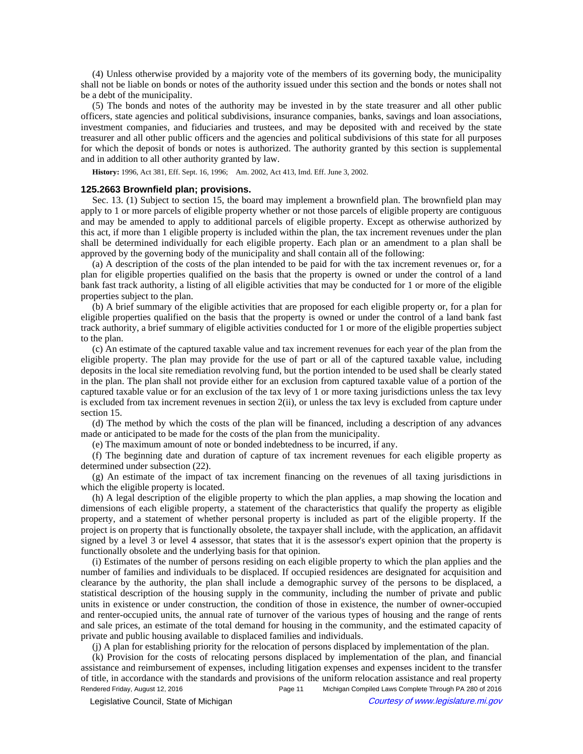(4) Unless otherwise provided by a majority vote of the members of its governing body, the municipality shall not be liable on bonds or notes of the authority issued under this section and the bonds or notes shall not be a debt of the municipality.

(5) The bonds and notes of the authority may be invested in by the state treasurer and all other public officers, state agencies and political subdivisions, insurance companies, banks, savings and loan associations, investment companies, and fiduciaries and trustees, and may be deposited with and received by the state treasurer and all other public officers and the agencies and political subdivisions of this state for all purposes for which the deposit of bonds or notes is authorized. The authority granted by this section is supplemental and in addition to all other authority granted by law.

History: 1996, Act 381, Eff. Sept. 16, 1996;-Am. 2002, Act 413, Imd. Eff. June 3, 2002.

#### **125.2663 Brownfield plan; provisions.**

Sec. 13. (1) Subject to section 15, the board may implement a brownfield plan. The brownfield plan may apply to 1 or more parcels of eligible property whether or not those parcels of eligible property are contiguous and may be amended to apply to additional parcels of eligible property. Except as otherwise authorized by this act, if more than 1 eligible property is included within the plan, the tax increment revenues under the plan shall be determined individually for each eligible property. Each plan or an amendment to a plan shall be approved by the governing body of the municipality and shall contain all of the following:

(a) A description of the costs of the plan intended to be paid for with the tax increment revenues or, for a plan for eligible properties qualified on the basis that the property is owned or under the control of a land bank fast track authority, a listing of all eligible activities that may be conducted for 1 or more of the eligible properties subject to the plan.

(b) A brief summary of the eligible activities that are proposed for each eligible property or, for a plan for eligible properties qualified on the basis that the property is owned or under the control of a land bank fast track authority, a brief summary of eligible activities conducted for 1 or more of the eligible properties subject to the plan.

(c) An estimate of the captured taxable value and tax increment revenues for each year of the plan from the eligible property. The plan may provide for the use of part or all of the captured taxable value, including deposits in the local site remediation revolving fund, but the portion intended to be used shall be clearly stated in the plan. The plan shall not provide either for an exclusion from captured taxable value of a portion of the captured taxable value or for an exclusion of the tax levy of 1 or more taxing jurisdictions unless the tax levy is excluded from tax increment revenues in section 2(ii), or unless the tax levy is excluded from capture under section 15.

(d) The method by which the costs of the plan will be financed, including a description of any advances made or anticipated to be made for the costs of the plan from the municipality.

(e) The maximum amount of note or bonded indebtedness to be incurred, if any.

(f) The beginning date and duration of capture of tax increment revenues for each eligible property as determined under subsection (22).

(g) An estimate of the impact of tax increment financing on the revenues of all taxing jurisdictions in which the eligible property is located.

(h) A legal description of the eligible property to which the plan applies, a map showing the location and dimensions of each eligible property, a statement of the characteristics that qualify the property as eligible property, and a statement of whether personal property is included as part of the eligible property. If the project is on property that is functionally obsolete, the taxpayer shall include, with the application, an affidavit signed by a level 3 or level 4 assessor, that states that it is the assessor's expert opinion that the property is functionally obsolete and the underlying basis for that opinion.

(i) Estimates of the number of persons residing on each eligible property to which the plan applies and the number of families and individuals to be displaced. If occupied residences are designated for acquisition and clearance by the authority, the plan shall include a demographic survey of the persons to be displaced, a statistical description of the housing supply in the community, including the number of private and public units in existence or under construction, the condition of those in existence, the number of owner-occupied and renter-occupied units, the annual rate of turnover of the various types of housing and the range of rents and sale prices, an estimate of the total demand for housing in the community, and the estimated capacity of private and public housing available to displaced families and individuals.

(j) A plan for establishing priority for the relocation of persons displaced by implementation of the plan.

(k) Provision for the costs of relocating persons displaced by implementation of the plan, and financial assistance and reimbursement of expenses, including litigation expenses and expenses incident to the transfer of title, in accordance with the standards and provisions of the uniform relocation assistance and real property Rendered Friday, August 12, 2016 Page 11 Michigan Compiled Laws Complete Through PA 280 of 2016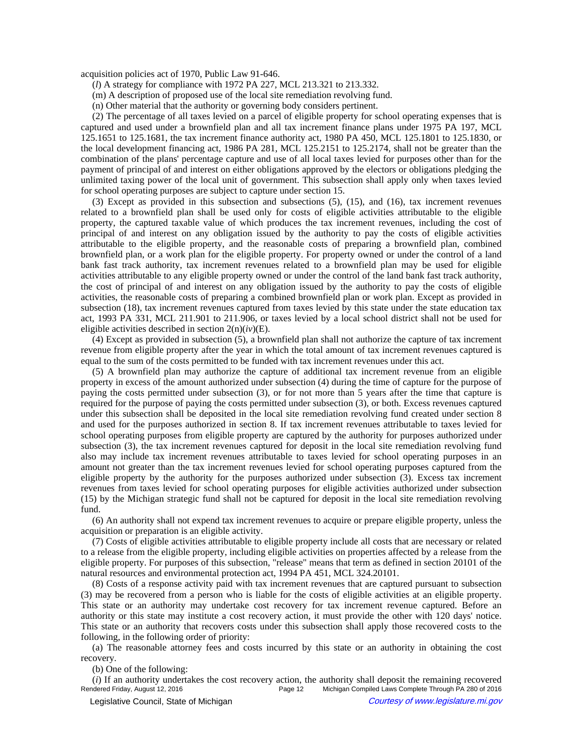acquisition policies act of 1970, Public Law 91-646.

- (*l*) A strategy for compliance with 1972 PA 227, MCL 213.321 to 213.332.
- (m) A description of proposed use of the local site remediation revolving fund.
- (n) Other material that the authority or governing body considers pertinent.

(2) The percentage of all taxes levied on a parcel of eligible property for school operating expenses that is captured and used under a brownfield plan and all tax increment finance plans under 1975 PA 197, MCL 125.1651 to 125.1681, the tax increment finance authority act, 1980 PA 450, MCL 125.1801 to 125.1830, or the local development financing act, 1986 PA 281, MCL 125.2151 to 125.2174, shall not be greater than the combination of the plans' percentage capture and use of all local taxes levied for purposes other than for the payment of principal of and interest on either obligations approved by the electors or obligations pledging the unlimited taxing power of the local unit of government. This subsection shall apply only when taxes levied for school operating purposes are subject to capture under section 15.

(3) Except as provided in this subsection and subsections (5), (15), and (16), tax increment revenues related to a brownfield plan shall be used only for costs of eligible activities attributable to the eligible property, the captured taxable value of which produces the tax increment revenues, including the cost of principal of and interest on any obligation issued by the authority to pay the costs of eligible activities attributable to the eligible property, and the reasonable costs of preparing a brownfield plan, combined brownfield plan, or a work plan for the eligible property. For property owned or under the control of a land bank fast track authority, tax increment revenues related to a brownfield plan may be used for eligible activities attributable to any eligible property owned or under the control of the land bank fast track authority, the cost of principal of and interest on any obligation issued by the authority to pay the costs of eligible activities, the reasonable costs of preparing a combined brownfield plan or work plan. Except as provided in subsection (18), tax increment revenues captured from taxes levied by this state under the state education tax act, 1993 PA 331, MCL 211.901 to 211.906, or taxes levied by a local school district shall not be used for eligible activities described in section 2(n)(*iv*)(E).

(4) Except as provided in subsection (5), a brownfield plan shall not authorize the capture of tax increment revenue from eligible property after the year in which the total amount of tax increment revenues captured is equal to the sum of the costs permitted to be funded with tax increment revenues under this act.

(5) A brownfield plan may authorize the capture of additional tax increment revenue from an eligible property in excess of the amount authorized under subsection (4) during the time of capture for the purpose of paying the costs permitted under subsection (3), or for not more than 5 years after the time that capture is required for the purpose of paying the costs permitted under subsection (3), or both. Excess revenues captured under this subsection shall be deposited in the local site remediation revolving fund created under section 8 and used for the purposes authorized in section 8. If tax increment revenues attributable to taxes levied for school operating purposes from eligible property are captured by the authority for purposes authorized under subsection (3), the tax increment revenues captured for deposit in the local site remediation revolving fund also may include tax increment revenues attributable to taxes levied for school operating purposes in an amount not greater than the tax increment revenues levied for school operating purposes captured from the eligible property by the authority for the purposes authorized under subsection (3). Excess tax increment revenues from taxes levied for school operating purposes for eligible activities authorized under subsection (15) by the Michigan strategic fund shall not be captured for deposit in the local site remediation revolving fund.

(6) An authority shall not expend tax increment revenues to acquire or prepare eligible property, unless the acquisition or preparation is an eligible activity.

(7) Costs of eligible activities attributable to eligible property include all costs that are necessary or related to a release from the eligible property, including eligible activities on properties affected by a release from the eligible property. For purposes of this subsection, "release" means that term as defined in section 20101 of the natural resources and environmental protection act, 1994 PA 451, MCL 324.20101.

(8) Costs of a response activity paid with tax increment revenues that are captured pursuant to subsection (3) may be recovered from a person who is liable for the costs of eligible activities at an eligible property. This state or an authority may undertake cost recovery for tax increment revenue captured. Before an authority or this state may institute a cost recovery action, it must provide the other with 120 days' notice. This state or an authority that recovers costs under this subsection shall apply those recovered costs to the following, in the following order of priority:

(a) The reasonable attorney fees and costs incurred by this state or an authority in obtaining the cost recovery.

(b) One of the following:

(*i*) If an authority undertakes the cost recovery action, the authority shall deposit the remaining recovered<br>Rendered Friday, August 12, 2016<br>Michigan Compiled Laws Complete Through PA 280 of 2016 Michigan Compiled Laws Complete Through PA 280 of 2016 © Legislative Council, State of Michigan Council Courtesy of www.legislature.mi.gov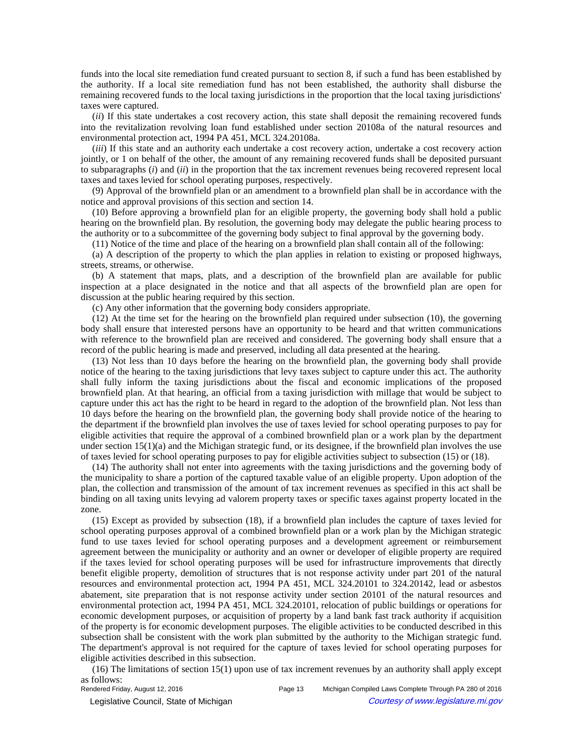funds into the local site remediation fund created pursuant to section 8, if such a fund has been established by the authority. If a local site remediation fund has not been established, the authority shall disburse the remaining recovered funds to the local taxing jurisdictions in the proportion that the local taxing jurisdictions' taxes were captured.

(*ii*) If this state undertakes a cost recovery action, this state shall deposit the remaining recovered funds into the revitalization revolving loan fund established under section 20108a of the natural resources and environmental protection act, 1994 PA 451, MCL 324.20108a.

(*iii*) If this state and an authority each undertake a cost recovery action, undertake a cost recovery action jointly, or 1 on behalf of the other, the amount of any remaining recovered funds shall be deposited pursuant to subparagraphs (*i*) and (*ii*) in the proportion that the tax increment revenues being recovered represent local taxes and taxes levied for school operating purposes, respectively.

(9) Approval of the brownfield plan or an amendment to a brownfield plan shall be in accordance with the notice and approval provisions of this section and section 14.

(10) Before approving a brownfield plan for an eligible property, the governing body shall hold a public hearing on the brownfield plan. By resolution, the governing body may delegate the public hearing process to the authority or to a subcommittee of the governing body subject to final approval by the governing body.

(11) Notice of the time and place of the hearing on a brownfield plan shall contain all of the following:

(a) A description of the property to which the plan applies in relation to existing or proposed highways, streets, streams, or otherwise.

(b) A statement that maps, plats, and a description of the brownfield plan are available for public inspection at a place designated in the notice and that all aspects of the brownfield plan are open for discussion at the public hearing required by this section.

(c) Any other information that the governing body considers appropriate.

(12) At the time set for the hearing on the brownfield plan required under subsection (10), the governing body shall ensure that interested persons have an opportunity to be heard and that written communications with reference to the brownfield plan are received and considered. The governing body shall ensure that a record of the public hearing is made and preserved, including all data presented at the hearing.

(13) Not less than 10 days before the hearing on the brownfield plan, the governing body shall provide notice of the hearing to the taxing jurisdictions that levy taxes subject to capture under this act. The authority shall fully inform the taxing jurisdictions about the fiscal and economic implications of the proposed brownfield plan. At that hearing, an official from a taxing jurisdiction with millage that would be subject to capture under this act has the right to be heard in regard to the adoption of the brownfield plan. Not less than 10 days before the hearing on the brownfield plan, the governing body shall provide notice of the hearing to the department if the brownfield plan involves the use of taxes levied for school operating purposes to pay for eligible activities that require the approval of a combined brownfield plan or a work plan by the department under section  $15(1)(a)$  and the Michigan strategic fund, or its designee, if the brownfield plan involves the use of taxes levied for school operating purposes to pay for eligible activities subject to subsection (15) or (18).

(14) The authority shall not enter into agreements with the taxing jurisdictions and the governing body of the municipality to share a portion of the captured taxable value of an eligible property. Upon adoption of the plan, the collection and transmission of the amount of tax increment revenues as specified in this act shall be binding on all taxing units levying ad valorem property taxes or specific taxes against property located in the zone.

(15) Except as provided by subsection (18), if a brownfield plan includes the capture of taxes levied for school operating purposes approval of a combined brownfield plan or a work plan by the Michigan strategic fund to use taxes levied for school operating purposes and a development agreement or reimbursement agreement between the municipality or authority and an owner or developer of eligible property are required if the taxes levied for school operating purposes will be used for infrastructure improvements that directly benefit eligible property, demolition of structures that is not response activity under part 201 of the natural resources and environmental protection act, 1994 PA 451, MCL 324.20101 to 324.20142, lead or asbestos abatement, site preparation that is not response activity under section 20101 of the natural resources and environmental protection act, 1994 PA 451, MCL 324.20101, relocation of public buildings or operations for economic development purposes, or acquisition of property by a land bank fast track authority if acquisition of the property is for economic development purposes. The eligible activities to be conducted described in this subsection shall be consistent with the work plan submitted by the authority to the Michigan strategic fund. The department's approval is not required for the capture of taxes levied for school operating purposes for eligible activities described in this subsection.

(16) The limitations of section 15(1) upon use of tax increment revenues by an authority shall apply except as follows:<br>Rendered Friday, August 12, 2016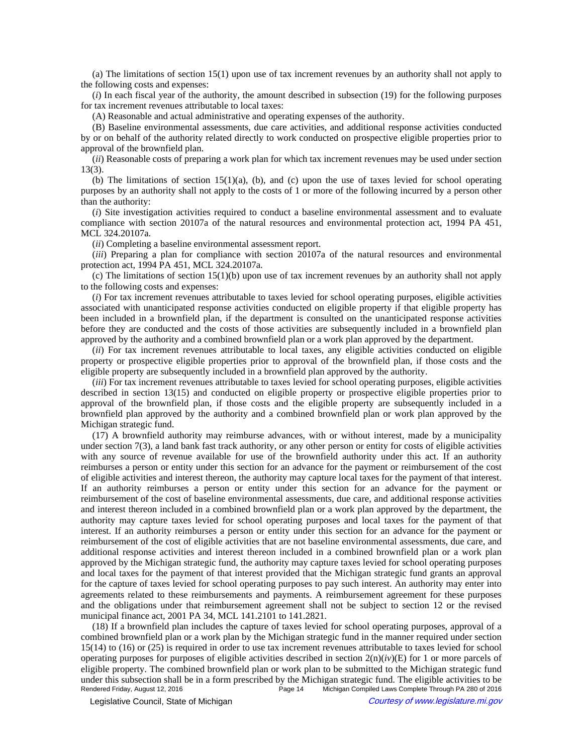(a) The limitations of section 15(1) upon use of tax increment revenues by an authority shall not apply to the following costs and expenses:

(*i*) In each fiscal year of the authority, the amount described in subsection (19) for the following purposes for tax increment revenues attributable to local taxes:

(A) Reasonable and actual administrative and operating expenses of the authority.

(B) Baseline environmental assessments, due care activities, and additional response activities conducted by or on behalf of the authority related directly to work conducted on prospective eligible properties prior to approval of the brownfield plan.

(*ii*) Reasonable costs of preparing a work plan for which tax increment revenues may be used under section 13(3).

(b) The limitations of section  $15(1)(a)$ , (b), and (c) upon the use of taxes levied for school operating purposes by an authority shall not apply to the costs of 1 or more of the following incurred by a person other than the authority:

(*i*) Site investigation activities required to conduct a baseline environmental assessment and to evaluate compliance with section 20107a of the natural resources and environmental protection act, 1994 PA 451, MCL 324.20107a.

(*ii*) Completing a baseline environmental assessment report.

(*iii*) Preparing a plan for compliance with section 20107a of the natural resources and environmental protection act, 1994 PA 451, MCL 324.20107a.

(c) The limitations of section 15(1)(b) upon use of tax increment revenues by an authority shall not apply to the following costs and expenses:

(*i*) For tax increment revenues attributable to taxes levied for school operating purposes, eligible activities associated with unanticipated response activities conducted on eligible property if that eligible property has been included in a brownfield plan, if the department is consulted on the unanticipated response activities before they are conducted and the costs of those activities are subsequently included in a brownfield plan approved by the authority and a combined brownfield plan or a work plan approved by the department.

(*ii*) For tax increment revenues attributable to local taxes, any eligible activities conducted on eligible property or prospective eligible properties prior to approval of the brownfield plan, if those costs and the eligible property are subsequently included in a brownfield plan approved by the authority.

(*iii*) For tax increment revenues attributable to taxes levied for school operating purposes, eligible activities described in section 13(15) and conducted on eligible property or prospective eligible properties prior to approval of the brownfield plan, if those costs and the eligible property are subsequently included in a brownfield plan approved by the authority and a combined brownfield plan or work plan approved by the Michigan strategic fund.

(17) A brownfield authority may reimburse advances, with or without interest, made by a municipality under section 7(3), a land bank fast track authority, or any other person or entity for costs of eligible activities with any source of revenue available for use of the brownfield authority under this act. If an authority reimburses a person or entity under this section for an advance for the payment or reimbursement of the cost of eligible activities and interest thereon, the authority may capture local taxes for the payment of that interest. If an authority reimburses a person or entity under this section for an advance for the payment or reimbursement of the cost of baseline environmental assessments, due care, and additional response activities and interest thereon included in a combined brownfield plan or a work plan approved by the department, the authority may capture taxes levied for school operating purposes and local taxes for the payment of that interest. If an authority reimburses a person or entity under this section for an advance for the payment or reimbursement of the cost of eligible activities that are not baseline environmental assessments, due care, and additional response activities and interest thereon included in a combined brownfield plan or a work plan approved by the Michigan strategic fund, the authority may capture taxes levied for school operating purposes and local taxes for the payment of that interest provided that the Michigan strategic fund grants an approval for the capture of taxes levied for school operating purposes to pay such interest. An authority may enter into agreements related to these reimbursements and payments. A reimbursement agreement for these purposes and the obligations under that reimbursement agreement shall not be subject to section 12 or the revised municipal finance act, 2001 PA 34, MCL 141.2101 to 141.2821.

(18) If a brownfield plan includes the capture of taxes levied for school operating purposes, approval of a combined brownfield plan or a work plan by the Michigan strategic fund in the manner required under section 15(14) to (16) or (25) is required in order to use tax increment revenues attributable to taxes levied for school operating purposes for purposes of eligible activities described in section  $2(n)(iv)(E)$  for 1 or more parcels of eligible property. The combined brownfield plan or work plan to be submitted to the Michigan strategic fund under this subsection shall be in a form prescribed by the Michigan strategic fund. The eligible activities to be<br>Rendered Friday, August 12, 2016 Page 14 Michigan Compiled Laws Complete Through PA 280 of 2016 Michigan Compiled Laws Complete Through PA 280 of 2016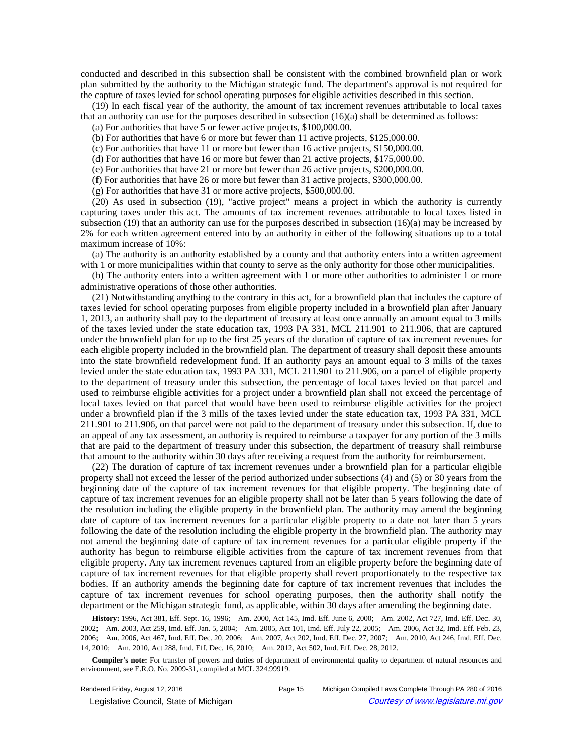conducted and described in this subsection shall be consistent with the combined brownfield plan or work plan submitted by the authority to the Michigan strategic fund. The department's approval is not required for the capture of taxes levied for school operating purposes for eligible activities described in this section.

(19) In each fiscal year of the authority, the amount of tax increment revenues attributable to local taxes that an authority can use for the purposes described in subsection (16)(a) shall be determined as follows:

(a) For authorities that have 5 or fewer active projects, \$100,000.00.

(b) For authorities that have 6 or more but fewer than 11 active projects, \$125,000.00.

(c) For authorities that have 11 or more but fewer than 16 active projects, \$150,000.00.

(d) For authorities that have 16 or more but fewer than 21 active projects, \$175,000.00.

(e) For authorities that have 21 or more but fewer than 26 active projects, \$200,000.00.

(f) For authorities that have 26 or more but fewer than 31 active projects, \$300,000.00.

(g) For authorities that have 31 or more active projects, \$500,000.00.

(20) As used in subsection (19), "active project" means a project in which the authority is currently capturing taxes under this act. The amounts of tax increment revenues attributable to local taxes listed in subsection (19) that an authority can use for the purposes described in subsection (16)(a) may be increased by 2% for each written agreement entered into by an authority in either of the following situations up to a total maximum increase of 10%:

(a) The authority is an authority established by a county and that authority enters into a written agreement with 1 or more municipalities within that county to serve as the only authority for those other municipalities.

(b) The authority enters into a written agreement with 1 or more other authorities to administer 1 or more administrative operations of those other authorities.

(21) Notwithstanding anything to the contrary in this act, for a brownfield plan that includes the capture of taxes levied for school operating purposes from eligible property included in a brownfield plan after January 1, 2013, an authority shall pay to the department of treasury at least once annually an amount equal to 3 mills of the taxes levied under the state education tax, 1993 PA 331, MCL 211.901 to 211.906, that are captured under the brownfield plan for up to the first 25 years of the duration of capture of tax increment revenues for each eligible property included in the brownfield plan. The department of treasury shall deposit these amounts into the state brownfield redevelopment fund. If an authority pays an amount equal to 3 mills of the taxes levied under the state education tax, 1993 PA 331, MCL 211.901 to 211.906, on a parcel of eligible property to the department of treasury under this subsection, the percentage of local taxes levied on that parcel and used to reimburse eligible activities for a project under a brownfield plan shall not exceed the percentage of local taxes levied on that parcel that would have been used to reimburse eligible activities for the project under a brownfield plan if the 3 mills of the taxes levied under the state education tax, 1993 PA 331, MCL 211.901 to 211.906, on that parcel were not paid to the department of treasury under this subsection. If, due to an appeal of any tax assessment, an authority is required to reimburse a taxpayer for any portion of the 3 mills that are paid to the department of treasury under this subsection, the department of treasury shall reimburse that amount to the authority within 30 days after receiving a request from the authority for reimbursement.

(22) The duration of capture of tax increment revenues under a brownfield plan for a particular eligible property shall not exceed the lesser of the period authorized under subsections (4) and (5) or 30 years from the beginning date of the capture of tax increment revenues for that eligible property. The beginning date of capture of tax increment revenues for an eligible property shall not be later than 5 years following the date of the resolution including the eligible property in the brownfield plan. The authority may amend the beginning date of capture of tax increment revenues for a particular eligible property to a date not later than 5 years following the date of the resolution including the eligible property in the brownfield plan. The authority may not amend the beginning date of capture of tax increment revenues for a particular eligible property if the authority has begun to reimburse eligible activities from the capture of tax increment revenues from that eligible property. Any tax increment revenues captured from an eligible property before the beginning date of capture of tax increment revenues for that eligible property shall revert proportionately to the respective tax bodies. If an authority amends the beginning date for capture of tax increment revenues that includes the capture of tax increment revenues for school operating purposes, then the authority shall notify the department or the Michigan strategic fund, as applicable, within 30 days after amending the beginning date.

History: 1996, Act 381, Eff. Sept. 16, 1996;-Am. 2000, Act 145, Imd. Eff. June 6, 2000;--Am. 2002, Act 727, Imd. Eff. Dec. 30, 2002;--Am. 2003, Act 259, Imd. Eff. Jan. 5, 2004;--Am. 2005, Act 101, Imd. Eff. July 22, 2005;--Am. 2006, Act 32, Imd. Eff. Feb. 23, 2006;—Am. 2006, Act 467, Imd. Eff. Dec. 20, 2006;—Am. 2007, Act 202, Imd. Eff. Dec. 27, 2007;—Am. 2010, Act 246, Imd. Eff. Dec. 14, 2010;—Am. 2010, Act 288, Imd. Eff. Dec. 16, 2010;—Am. 2012, Act 502, Imd. Eff. Dec. 28, 2012.

**Compiler's note:** For transfer of powers and duties of department of environmental quality to department of natural resources and environment, see E.R.O. No. 2009-31, compiled at MCL 324.99919.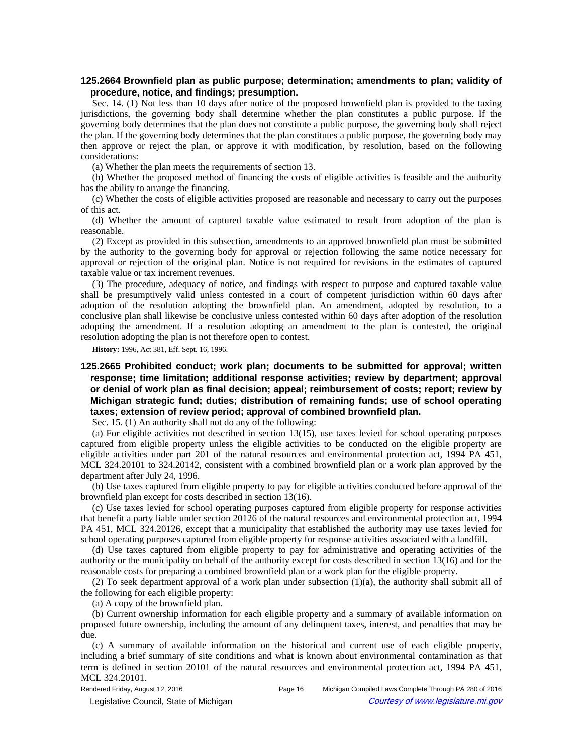## **125.2664 Brownfield plan as public purpose; determination; amendments to plan; validity of procedure, notice, and findings; presumption.**

Sec. 14. (1) Not less than 10 days after notice of the proposed brownfield plan is provided to the taxing jurisdictions, the governing body shall determine whether the plan constitutes a public purpose. If the governing body determines that the plan does not constitute a public purpose, the governing body shall reject the plan. If the governing body determines that the plan constitutes a public purpose, the governing body may then approve or reject the plan, or approve it with modification, by resolution, based on the following considerations:

(a) Whether the plan meets the requirements of section 13.

(b) Whether the proposed method of financing the costs of eligible activities is feasible and the authority has the ability to arrange the financing.

(c) Whether the costs of eligible activities proposed are reasonable and necessary to carry out the purposes of this act.

(d) Whether the amount of captured taxable value estimated to result from adoption of the plan is reasonable.

(2) Except as provided in this subsection, amendments to an approved brownfield plan must be submitted by the authority to the governing body for approval or rejection following the same notice necessary for approval or rejection of the original plan. Notice is not required for revisions in the estimates of captured taxable value or tax increment revenues.

(3) The procedure, adequacy of notice, and findings with respect to purpose and captured taxable value shall be presumptively valid unless contested in a court of competent jurisdiction within 60 days after adoption of the resolution adopting the brownfield plan. An amendment, adopted by resolution, to a conclusive plan shall likewise be conclusive unless contested within 60 days after adoption of the resolution adopting the amendment. If a resolution adopting an amendment to the plan is contested, the original resolution adopting the plan is not therefore open to contest.

**History:** 1996, Act 381, Eff. Sept. 16, 1996.

# **125.2665 Prohibited conduct; work plan; documents to be submitted for approval; written response; time limitation; additional response activities; review by department; approval or denial of work plan as final decision; appeal; reimbursement of costs; report; review by Michigan strategic fund; duties; distribution of remaining funds; use of school operating taxes; extension of review period; approval of combined brownfield plan.**

Sec. 15. (1) An authority shall not do any of the following:

(a) For eligible activities not described in section 13(15), use taxes levied for school operating purposes captured from eligible property unless the eligible activities to be conducted on the eligible property are eligible activities under part 201 of the natural resources and environmental protection act, 1994 PA 451, MCL 324.20101 to 324.20142, consistent with a combined brownfield plan or a work plan approved by the department after July 24, 1996.

(b) Use taxes captured from eligible property to pay for eligible activities conducted before approval of the brownfield plan except for costs described in section 13(16).

(c) Use taxes levied for school operating purposes captured from eligible property for response activities that benefit a party liable under section 20126 of the natural resources and environmental protection act, 1994 PA 451, MCL 324.20126, except that a municipality that established the authority may use taxes levied for school operating purposes captured from eligible property for response activities associated with a landfill.

(d) Use taxes captured from eligible property to pay for administrative and operating activities of the authority or the municipality on behalf of the authority except for costs described in section 13(16) and for the reasonable costs for preparing a combined brownfield plan or a work plan for the eligible property.

(2) To seek department approval of a work plan under subsection  $(1)(a)$ , the authority shall submit all of the following for each eligible property:

(a) A copy of the brownfield plan.

(b) Current ownership information for each eligible property and a summary of available information on proposed future ownership, including the amount of any delinquent taxes, interest, and penalties that may be due.

(c) A summary of available information on the historical and current use of each eligible property, including a brief summary of site conditions and what is known about environmental contamination as that term is defined in section 20101 of the natural resources and environmental protection act, 1994 PA 451, MCL 324.20101.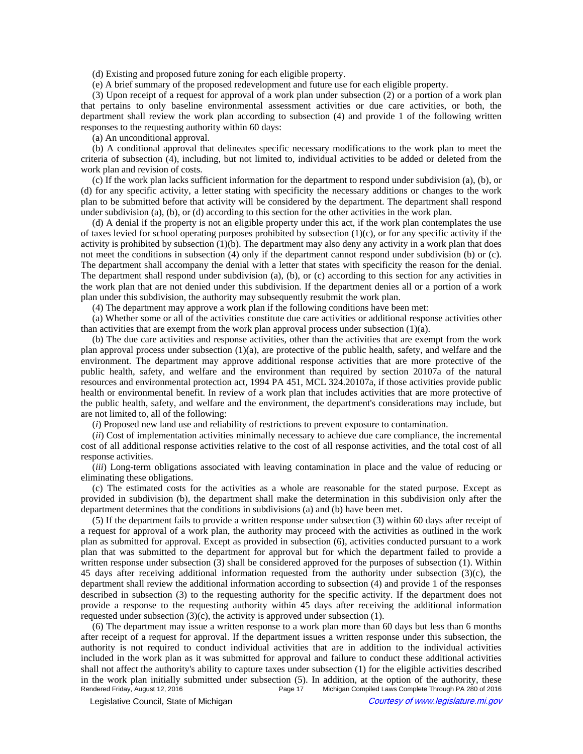(d) Existing and proposed future zoning for each eligible property.

(e) A brief summary of the proposed redevelopment and future use for each eligible property.

(3) Upon receipt of a request for approval of a work plan under subsection (2) or a portion of a work plan that pertains to only baseline environmental assessment activities or due care activities, or both, the department shall review the work plan according to subsection (4) and provide 1 of the following written responses to the requesting authority within 60 days:

(a) An unconditional approval.

(b) A conditional approval that delineates specific necessary modifications to the work plan to meet the criteria of subsection (4), including, but not limited to, individual activities to be added or deleted from the work plan and revision of costs.

(c) If the work plan lacks sufficient information for the department to respond under subdivision (a), (b), or (d) for any specific activity, a letter stating with specificity the necessary additions or changes to the work plan to be submitted before that activity will be considered by the department. The department shall respond under subdivision (a), (b), or (d) according to this section for the other activities in the work plan.

(d) A denial if the property is not an eligible property under this act, if the work plan contemplates the use of taxes levied for school operating purposes prohibited by subsection  $(1)(c)$ , or for any specific activity if the activity is prohibited by subsection  $(1)(b)$ . The department may also deny any activity in a work plan that does not meet the conditions in subsection (4) only if the department cannot respond under subdivision (b) or (c). The department shall accompany the denial with a letter that states with specificity the reason for the denial. The department shall respond under subdivision (a), (b), or (c) according to this section for any activities in the work plan that are not denied under this subdivision. If the department denies all or a portion of a work plan under this subdivision, the authority may subsequently resubmit the work plan.

(4) The department may approve a work plan if the following conditions have been met:

(a) Whether some or all of the activities constitute due care activities or additional response activities other than activities that are exempt from the work plan approval process under subsection (1)(a).

(b) The due care activities and response activities, other than the activities that are exempt from the work plan approval process under subsection (1)(a), are protective of the public health, safety, and welfare and the environment. The department may approve additional response activities that are more protective of the public health, safety, and welfare and the environment than required by section 20107a of the natural resources and environmental protection act, 1994 PA 451, MCL 324.20107a, if those activities provide public health or environmental benefit. In review of a work plan that includes activities that are more protective of the public health, safety, and welfare and the environment, the department's considerations may include, but are not limited to, all of the following:

(*i*) Proposed new land use and reliability of restrictions to prevent exposure to contamination.

(*ii*) Cost of implementation activities minimally necessary to achieve due care compliance, the incremental cost of all additional response activities relative to the cost of all response activities, and the total cost of all response activities.

(*iii*) Long-term obligations associated with leaving contamination in place and the value of reducing or eliminating these obligations.

(c) The estimated costs for the activities as a whole are reasonable for the stated purpose. Except as provided in subdivision (b), the department shall make the determination in this subdivision only after the department determines that the conditions in subdivisions (a) and (b) have been met.

(5) If the department fails to provide a written response under subsection (3) within 60 days after receipt of a request for approval of a work plan, the authority may proceed with the activities as outlined in the work plan as submitted for approval. Except as provided in subsection (6), activities conducted pursuant to a work plan that was submitted to the department for approval but for which the department failed to provide a written response under subsection (3) shall be considered approved for the purposes of subsection (1). Within 45 days after receiving additional information requested from the authority under subsection (3)(c), the department shall review the additional information according to subsection (4) and provide 1 of the responses described in subsection (3) to the requesting authority for the specific activity. If the department does not provide a response to the requesting authority within 45 days after receiving the additional information requested under subsection (3)(c), the activity is approved under subsection (1).

(6) The department may issue a written response to a work plan more than 60 days but less than 6 months after receipt of a request for approval. If the department issues a written response under this subsection, the authority is not required to conduct individual activities that are in addition to the individual activities included in the work plan as it was submitted for approval and failure to conduct these additional activities shall not affect the authority's ability to capture taxes under subsection (1) for the eligible activities described in the work plan initially submitted under subsection (5). In addition, at the option of the authority, these<br>Rendered Friday, August 12, 2016<br>Rendered Friday, August 12, 2016 Michigan Compiled Laws Complete Through PA 280 of 2016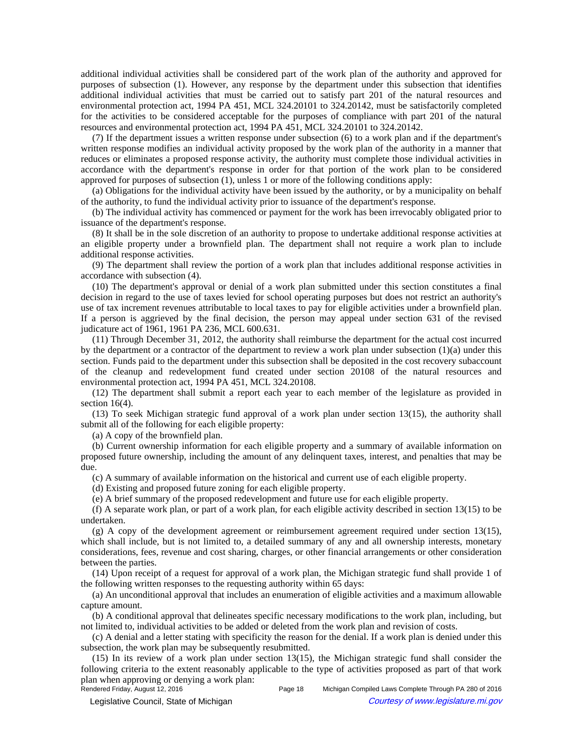additional individual activities shall be considered part of the work plan of the authority and approved for purposes of subsection (1). However, any response by the department under this subsection that identifies additional individual activities that must be carried out to satisfy part 201 of the natural resources and environmental protection act, 1994 PA 451, MCL 324.20101 to 324.20142, must be satisfactorily completed for the activities to be considered acceptable for the purposes of compliance with part 201 of the natural resources and environmental protection act, 1994 PA 451, MCL 324.20101 to 324.20142.

(7) If the department issues a written response under subsection (6) to a work plan and if the department's written response modifies an individual activity proposed by the work plan of the authority in a manner that reduces or eliminates a proposed response activity, the authority must complete those individual activities in accordance with the department's response in order for that portion of the work plan to be considered approved for purposes of subsection (1), unless 1 or more of the following conditions apply:

(a) Obligations for the individual activity have been issued by the authority, or by a municipality on behalf of the authority, to fund the individual activity prior to issuance of the department's response.

(b) The individual activity has commenced or payment for the work has been irrevocably obligated prior to issuance of the department's response.

(8) It shall be in the sole discretion of an authority to propose to undertake additional response activities at an eligible property under a brownfield plan. The department shall not require a work plan to include additional response activities.

(9) The department shall review the portion of a work plan that includes additional response activities in accordance with subsection (4).

(10) The department's approval or denial of a work plan submitted under this section constitutes a final decision in regard to the use of taxes levied for school operating purposes but does not restrict an authority's use of tax increment revenues attributable to local taxes to pay for eligible activities under a brownfield plan. If a person is aggrieved by the final decision, the person may appeal under section 631 of the revised judicature act of 1961, 1961 PA 236, MCL 600.631.

(11) Through December 31, 2012, the authority shall reimburse the department for the actual cost incurred by the department or a contractor of the department to review a work plan under subsection (1)(a) under this section. Funds paid to the department under this subsection shall be deposited in the cost recovery subaccount of the cleanup and redevelopment fund created under section 20108 of the natural resources and environmental protection act, 1994 PA 451, MCL 324.20108.

(12) The department shall submit a report each year to each member of the legislature as provided in section 16(4).

(13) To seek Michigan strategic fund approval of a work plan under section 13(15), the authority shall submit all of the following for each eligible property:

(a) A copy of the brownfield plan.

(b) Current ownership information for each eligible property and a summary of available information on proposed future ownership, including the amount of any delinquent taxes, interest, and penalties that may be due.

(c) A summary of available information on the historical and current use of each eligible property.

(d) Existing and proposed future zoning for each eligible property.

(e) A brief summary of the proposed redevelopment and future use for each eligible property.

(f) A separate work plan, or part of a work plan, for each eligible activity described in section 13(15) to be undertaken.

(g) A copy of the development agreement or reimbursement agreement required under section 13(15), which shall include, but is not limited to, a detailed summary of any and all ownership interests, monetary considerations, fees, revenue and cost sharing, charges, or other financial arrangements or other consideration between the parties.

(14) Upon receipt of a request for approval of a work plan, the Michigan strategic fund shall provide 1 of the following written responses to the requesting authority within 65 days:

(a) An unconditional approval that includes an enumeration of eligible activities and a maximum allowable capture amount.

(b) A conditional approval that delineates specific necessary modifications to the work plan, including, but not limited to, individual activities to be added or deleted from the work plan and revision of costs.

(c) A denial and a letter stating with specificity the reason for the denial. If a work plan is denied under this subsection, the work plan may be subsequently resubmitted.

(15) In its review of a work plan under section 13(15), the Michigan strategic fund shall consider the following criteria to the extent reasonably applicable to the type of activities proposed as part of that work plan when approving or denying a work plan:<br>Rendered Friday, August 12, 2016

© Legislative Council, State of Michigan Council Council Council Council Council Council Council Council Council Council Council Council Council Council Council Council Council Council Council Council Council Council Counc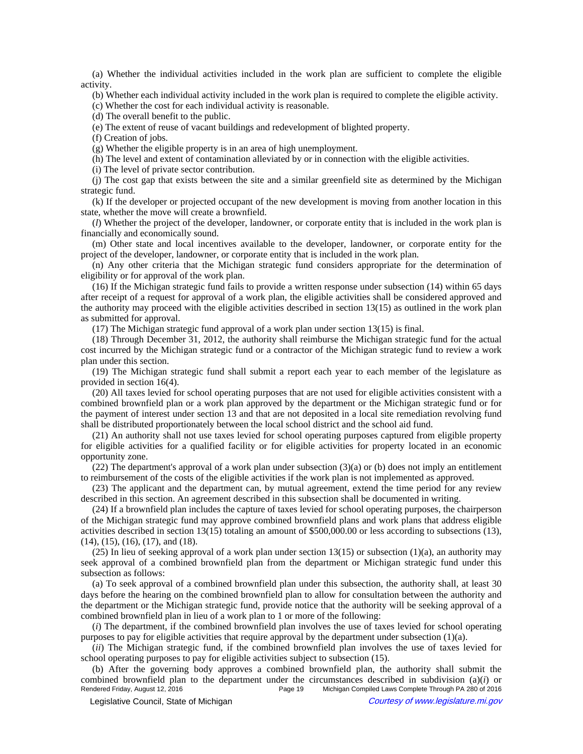(a) Whether the individual activities included in the work plan are sufficient to complete the eligible activity.

(b) Whether each individual activity included in the work plan is required to complete the eligible activity.

(c) Whether the cost for each individual activity is reasonable.

(d) The overall benefit to the public.

(e) The extent of reuse of vacant buildings and redevelopment of blighted property.

(f) Creation of jobs.

(g) Whether the eligible property is in an area of high unemployment.

(h) The level and extent of contamination alleviated by or in connection with the eligible activities.

(i) The level of private sector contribution.

(j) The cost gap that exists between the site and a similar greenfield site as determined by the Michigan strategic fund.

(k) If the developer or projected occupant of the new development is moving from another location in this state, whether the move will create a brownfield.

(*l*) Whether the project of the developer, landowner, or corporate entity that is included in the work plan is financially and economically sound.

(m) Other state and local incentives available to the developer, landowner, or corporate entity for the project of the developer, landowner, or corporate entity that is included in the work plan.

(n) Any other criteria that the Michigan strategic fund considers appropriate for the determination of eligibility or for approval of the work plan.

(16) If the Michigan strategic fund fails to provide a written response under subsection (14) within 65 days after receipt of a request for approval of a work plan, the eligible activities shall be considered approved and the authority may proceed with the eligible activities described in section 13(15) as outlined in the work plan as submitted for approval.

(17) The Michigan strategic fund approval of a work plan under section 13(15) is final.

(18) Through December 31, 2012, the authority shall reimburse the Michigan strategic fund for the actual cost incurred by the Michigan strategic fund or a contractor of the Michigan strategic fund to review a work plan under this section.

(19) The Michigan strategic fund shall submit a report each year to each member of the legislature as provided in section 16(4).

(20) All taxes levied for school operating purposes that are not used for eligible activities consistent with a combined brownfield plan or a work plan approved by the department or the Michigan strategic fund or for the payment of interest under section 13 and that are not deposited in a local site remediation revolving fund shall be distributed proportionately between the local school district and the school aid fund.

(21) An authority shall not use taxes levied for school operating purposes captured from eligible property for eligible activities for a qualified facility or for eligible activities for property located in an economic opportunity zone.

(22) The department's approval of a work plan under subsection (3)(a) or (b) does not imply an entitlement to reimbursement of the costs of the eligible activities if the work plan is not implemented as approved.

(23) The applicant and the department can, by mutual agreement, extend the time period for any review described in this section. An agreement described in this subsection shall be documented in writing.

(24) If a brownfield plan includes the capture of taxes levied for school operating purposes, the chairperson of the Michigan strategic fund may approve combined brownfield plans and work plans that address eligible activities described in section 13(15) totaling an amount of \$500,000.00 or less according to subsections (13), (14), (15), (16), (17), and (18).

(25) In lieu of seeking approval of a work plan under section 13(15) or subsection (1)(a), an authority may seek approval of a combined brownfield plan from the department or Michigan strategic fund under this subsection as follows:

(a) To seek approval of a combined brownfield plan under this subsection, the authority shall, at least 30 days before the hearing on the combined brownfield plan to allow for consultation between the authority and the department or the Michigan strategic fund, provide notice that the authority will be seeking approval of a combined brownfield plan in lieu of a work plan to 1 or more of the following:

(*i*) The department, if the combined brownfield plan involves the use of taxes levied for school operating purposes to pay for eligible activities that require approval by the department under subsection (1)(a).

(*ii*) The Michigan strategic fund, if the combined brownfield plan involves the use of taxes levied for school operating purposes to pay for eligible activities subject to subsection (15).

(b) After the governing body approves a combined brownfield plan, the authority shall submit the combined brownfield plan to the department under the circumstances described in subdivision (a)(*i*) or Michigan Compiled Laws Complete Through PA 280 of 2016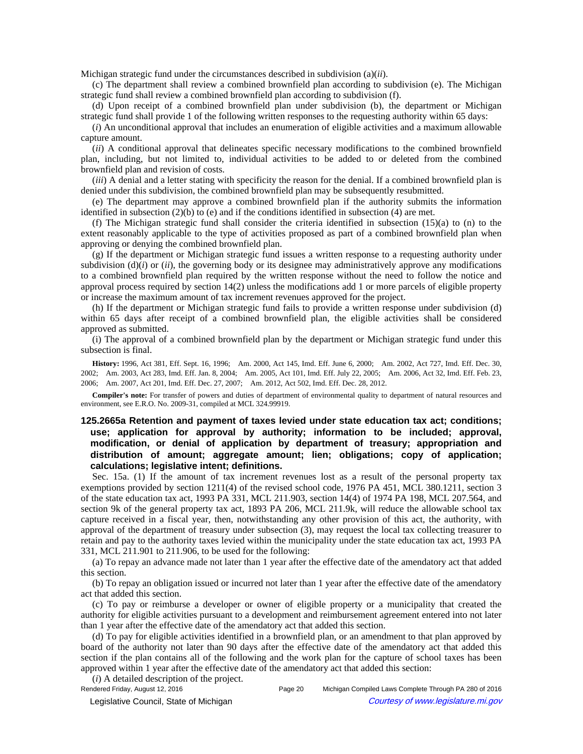Michigan strategic fund under the circumstances described in subdivision (a)(*ii*).

(c) The department shall review a combined brownfield plan according to subdivision (e). The Michigan strategic fund shall review a combined brownfield plan according to subdivision (f).

(d) Upon receipt of a combined brownfield plan under subdivision (b), the department or Michigan strategic fund shall provide 1 of the following written responses to the requesting authority within 65 days:

(*i*) An unconditional approval that includes an enumeration of eligible activities and a maximum allowable capture amount.

(*ii*) A conditional approval that delineates specific necessary modifications to the combined brownfield plan, including, but not limited to, individual activities to be added to or deleted from the combined brownfield plan and revision of costs.

(*iii*) A denial and a letter stating with specificity the reason for the denial. If a combined brownfield plan is denied under this subdivision, the combined brownfield plan may be subsequently resubmitted.

(e) The department may approve a combined brownfield plan if the authority submits the information identified in subsection  $(2)(b)$  to  $(e)$  and if the conditions identified in subsection  $(4)$  are met.

(f) The Michigan strategic fund shall consider the criteria identified in subsection (15)(a) to (n) to the extent reasonably applicable to the type of activities proposed as part of a combined brownfield plan when approving or denying the combined brownfield plan.

(g) If the department or Michigan strategic fund issues a written response to a requesting authority under subdivision  $(d)(i)$  or  $(ii)$ , the governing body or its designee may administratively approve any modifications to a combined brownfield plan required by the written response without the need to follow the notice and approval process required by section 14(2) unless the modifications add 1 or more parcels of eligible property or increase the maximum amount of tax increment revenues approved for the project.

(h) If the department or Michigan strategic fund fails to provide a written response under subdivision (d) within 65 days after receipt of a combined brownfield plan, the eligible activities shall be considered approved as submitted.

(i) The approval of a combined brownfield plan by the department or Michigan strategic fund under this subsection is final.

History: 1996, Act 381, Eff. Sept. 16, 1996;—Am. 2000, Act 145, Imd. Eff. June 6, 2000;—Am. 2002, Act 727, Imd. Eff. Dec. 30, 2002;--Am. 2003, Act 283, Imd. Eff. Jan. 8, 2004;--Am. 2005, Act 101, Imd. Eff. July 22, 2005;--Am. 2006, Act 32, Imd. Eff. Feb. 23, 2006; Am. 2007, Act 201, Imd. Eff. Dec. 27, 2007; Am. 2012, Act 502, Imd. Eff. Dec. 28, 2012.

**Compiler's note:** For transfer of powers and duties of department of environmental quality to department of natural resources and environment, see E.R.O. No. 2009-31, compiled at MCL 324.99919.

# **125.2665a Retention and payment of taxes levied under state education tax act; conditions; use; application for approval by authority; information to be included; approval, modification, or denial of application by department of treasury; appropriation and distribution of amount; aggregate amount; lien; obligations; copy of application; calculations; legislative intent; definitions.**

Sec. 15a. (1) If the amount of tax increment revenues lost as a result of the personal property tax exemptions provided by section 1211(4) of the revised school code, 1976 PA 451, MCL 380.1211, section 3 of the state education tax act, 1993 PA 331, MCL 211.903, section 14(4) of 1974 PA 198, MCL 207.564, and section 9k of the general property tax act, 1893 PA 206, MCL 211.9k, will reduce the allowable school tax capture received in a fiscal year, then, notwithstanding any other provision of this act, the authority, with approval of the department of treasury under subsection (3), may request the local tax collecting treasurer to retain and pay to the authority taxes levied within the municipality under the state education tax act, 1993 PA 331, MCL 211.901 to 211.906, to be used for the following:

(a) To repay an advance made not later than 1 year after the effective date of the amendatory act that added this section.

(b) To repay an obligation issued or incurred not later than 1 year after the effective date of the amendatory act that added this section.

(c) To pay or reimburse a developer or owner of eligible property or a municipality that created the authority for eligible activities pursuant to a development and reimbursement agreement entered into not later than 1 year after the effective date of the amendatory act that added this section.

(d) To pay for eligible activities identified in a brownfield plan, or an amendment to that plan approved by board of the authority not later than 90 days after the effective date of the amendatory act that added this section if the plan contains all of the following and the work plan for the capture of school taxes has been approved within 1 year after the effective date of the amendatory act that added this section:

(*i*) A detailed description of the project.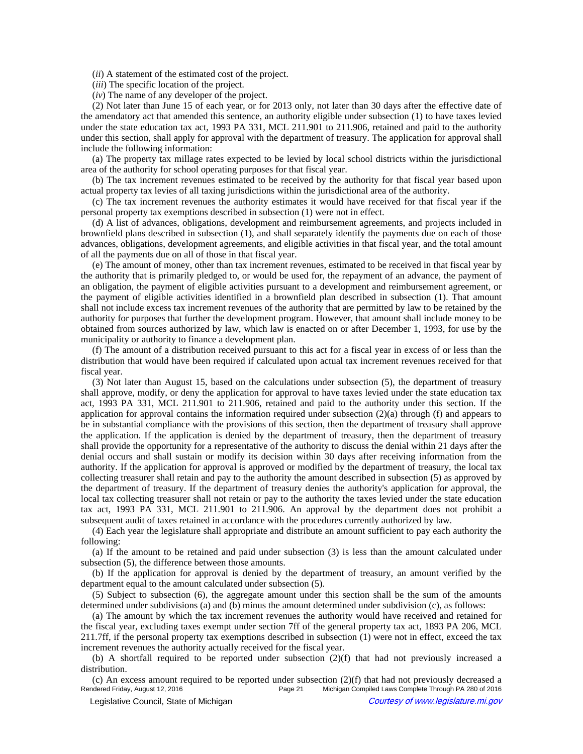(*ii*) A statement of the estimated cost of the project.

- (*iii*) The specific location of the project.
- (*iv*) The name of any developer of the project.

(2) Not later than June 15 of each year, or for 2013 only, not later than 30 days after the effective date of the amendatory act that amended this sentence, an authority eligible under subsection (1) to have taxes levied under the state education tax act, 1993 PA 331, MCL 211.901 to 211.906, retained and paid to the authority under this section, shall apply for approval with the department of treasury. The application for approval shall include the following information:

(a) The property tax millage rates expected to be levied by local school districts within the jurisdictional area of the authority for school operating purposes for that fiscal year.

(b) The tax increment revenues estimated to be received by the authority for that fiscal year based upon actual property tax levies of all taxing jurisdictions within the jurisdictional area of the authority.

(c) The tax increment revenues the authority estimates it would have received for that fiscal year if the personal property tax exemptions described in subsection (1) were not in effect.

(d) A list of advances, obligations, development and reimbursement agreements, and projects included in brownfield plans described in subsection (1), and shall separately identify the payments due on each of those advances, obligations, development agreements, and eligible activities in that fiscal year, and the total amount of all the payments due on all of those in that fiscal year.

(e) The amount of money, other than tax increment revenues, estimated to be received in that fiscal year by the authority that is primarily pledged to, or would be used for, the repayment of an advance, the payment of an obligation, the payment of eligible activities pursuant to a development and reimbursement agreement, or the payment of eligible activities identified in a brownfield plan described in subsection (1). That amount shall not include excess tax increment revenues of the authority that are permitted by law to be retained by the authority for purposes that further the development program. However, that amount shall include money to be obtained from sources authorized by law, which law is enacted on or after December 1, 1993, for use by the municipality or authority to finance a development plan.

(f) The amount of a distribution received pursuant to this act for a fiscal year in excess of or less than the distribution that would have been required if calculated upon actual tax increment revenues received for that fiscal year.

(3) Not later than August 15, based on the calculations under subsection (5), the department of treasury shall approve, modify, or deny the application for approval to have taxes levied under the state education tax act, 1993 PA 331, MCL 211.901 to 211.906, retained and paid to the authority under this section. If the application for approval contains the information required under subsection (2)(a) through (f) and appears to be in substantial compliance with the provisions of this section, then the department of treasury shall approve the application. If the application is denied by the department of treasury, then the department of treasury shall provide the opportunity for a representative of the authority to discuss the denial within 21 days after the denial occurs and shall sustain or modify its decision within 30 days after receiving information from the authority. If the application for approval is approved or modified by the department of treasury, the local tax collecting treasurer shall retain and pay to the authority the amount described in subsection (5) as approved by the department of treasury. If the department of treasury denies the authority's application for approval, the local tax collecting treasurer shall not retain or pay to the authority the taxes levied under the state education tax act, 1993 PA 331, MCL 211.901 to 211.906. An approval by the department does not prohibit a subsequent audit of taxes retained in accordance with the procedures currently authorized by law.

(4) Each year the legislature shall appropriate and distribute an amount sufficient to pay each authority the following:

(a) If the amount to be retained and paid under subsection (3) is less than the amount calculated under subsection (5), the difference between those amounts.

(b) If the application for approval is denied by the department of treasury, an amount verified by the department equal to the amount calculated under subsection (5).

(5) Subject to subsection (6), the aggregate amount under this section shall be the sum of the amounts determined under subdivisions (a) and (b) minus the amount determined under subdivision (c), as follows:

(a) The amount by which the tax increment revenues the authority would have received and retained for the fiscal year, excluding taxes exempt under section 7ff of the general property tax act, 1893 PA 206, MCL 211.7ff, if the personal property tax exemptions described in subsection (1) were not in effect, exceed the tax increment revenues the authority actually received for the fiscal year.

(b) A shortfall required to be reported under subsection (2)(f) that had not previously increased a distribution.

(c) An excess amount required to be reported under subsection  $(2)(f)$  that had not previously decreased a<br>Rendered Friday, August 12, 2016<br>Page 21 Michigan Compiled Laws Complete Through PA 280 of 2016 Page 21 Michigan Compiled Laws Complete Through PA 280 of 2016 © Legislative Council, State of Michigan Council Courtesy of www.legislature.mi.gov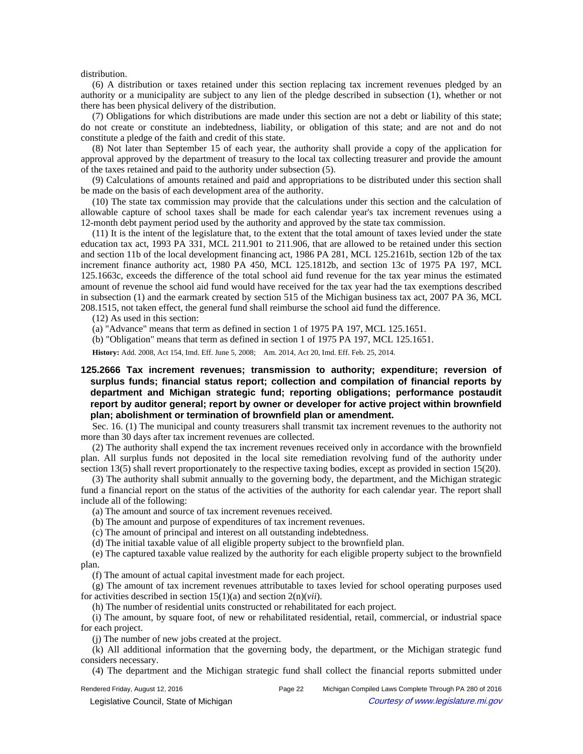distribution.

(6) A distribution or taxes retained under this section replacing tax increment revenues pledged by an authority or a municipality are subject to any lien of the pledge described in subsection (1), whether or not there has been physical delivery of the distribution.

(7) Obligations for which distributions are made under this section are not a debt or liability of this state; do not create or constitute an indebtedness, liability, or obligation of this state; and are not and do not constitute a pledge of the faith and credit of this state.

(8) Not later than September 15 of each year, the authority shall provide a copy of the application for approval approved by the department of treasury to the local tax collecting treasurer and provide the amount of the taxes retained and paid to the authority under subsection (5).

(9) Calculations of amounts retained and paid and appropriations to be distributed under this section shall be made on the basis of each development area of the authority.

(10) The state tax commission may provide that the calculations under this section and the calculation of allowable capture of school taxes shall be made for each calendar year's tax increment revenues using a 12-month debt payment period used by the authority and approved by the state tax commission.

(11) It is the intent of the legislature that, to the extent that the total amount of taxes levied under the state education tax act, 1993 PA 331, MCL 211.901 to 211.906, that are allowed to be retained under this section and section 11b of the local development financing act, 1986 PA 281, MCL 125.2161b, section 12b of the tax increment finance authority act, 1980 PA 450, MCL 125.1812b, and section 13c of 1975 PA 197, MCL 125.1663c, exceeds the difference of the total school aid fund revenue for the tax year minus the estimated amount of revenue the school aid fund would have received for the tax year had the tax exemptions described in subsection (1) and the earmark created by section 515 of the Michigan business tax act, 2007 PA 36, MCL 208.1515, not taken effect, the general fund shall reimburse the school aid fund the difference.

(12) As used in this section:

(a) "Advance" means that term as defined in section 1 of 1975 PA 197, MCL 125.1651.

(b) "Obligation" means that term as defined in section 1 of 1975 PA 197, MCL 125.1651.

History: Add. 2008, Act 154, Imd. Eff. June 5, 2008;- Am. 2014, Act 20, Imd. Eff. Feb. 25, 2014.

## **125.2666 Tax increment revenues; transmission to authority; expenditure; reversion of surplus funds; financial status report; collection and compilation of financial reports by department and Michigan strategic fund; reporting obligations; performance postaudit report by auditor general; report by owner or developer for active project within brownfield plan; abolishment or termination of brownfield plan or amendment.**

Sec. 16. (1) The municipal and county treasurers shall transmit tax increment revenues to the authority not more than 30 days after tax increment revenues are collected.

(2) The authority shall expend the tax increment revenues received only in accordance with the brownfield plan. All surplus funds not deposited in the local site remediation revolving fund of the authority under section 13(5) shall revert proportionately to the respective taxing bodies, except as provided in section 15(20).

(3) The authority shall submit annually to the governing body, the department, and the Michigan strategic fund a financial report on the status of the activities of the authority for each calendar year. The report shall include all of the following:

(a) The amount and source of tax increment revenues received.

(b) The amount and purpose of expenditures of tax increment revenues.

(c) The amount of principal and interest on all outstanding indebtedness.

(d) The initial taxable value of all eligible property subject to the brownfield plan.

(e) The captured taxable value realized by the authority for each eligible property subject to the brownfield plan.

(f) The amount of actual capital investment made for each project.

(g) The amount of tax increment revenues attributable to taxes levied for school operating purposes used for activities described in section 15(1)(a) and section 2(n)(*vii*).

(h) The number of residential units constructed or rehabilitated for each project.

(i) The amount, by square foot, of new or rehabilitated residential, retail, commercial, or industrial space for each project.

(j) The number of new jobs created at the project.

(k) All additional information that the governing body, the department, or the Michigan strategic fund considers necessary.

(4) The department and the Michigan strategic fund shall collect the financial reports submitted under

Rendered Friday, August 12, 2016 **Page 22** Michigan Compiled Laws Complete Through PA 280 of 2016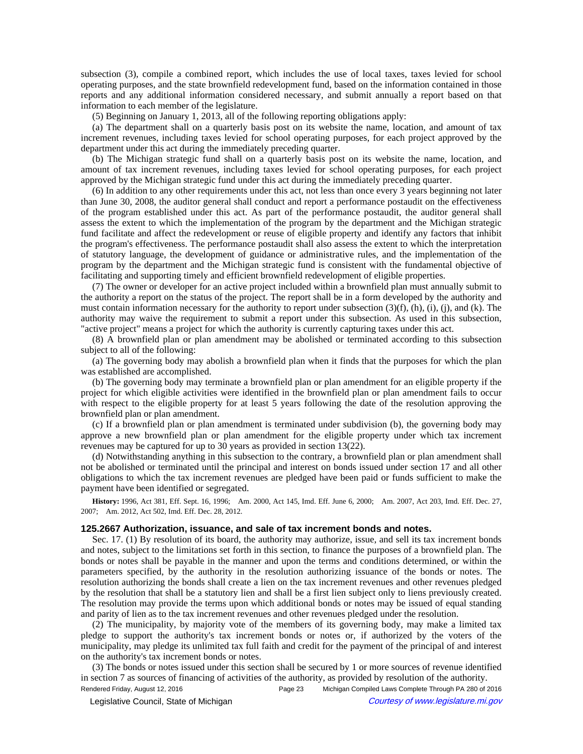subsection (3), compile a combined report, which includes the use of local taxes, taxes levied for school operating purposes, and the state brownfield redevelopment fund, based on the information contained in those reports and any additional information considered necessary, and submit annually a report based on that information to each member of the legislature.

(5) Beginning on January 1, 2013, all of the following reporting obligations apply:

(a) The department shall on a quarterly basis post on its website the name, location, and amount of tax increment revenues, including taxes levied for school operating purposes, for each project approved by the department under this act during the immediately preceding quarter.

(b) The Michigan strategic fund shall on a quarterly basis post on its website the name, location, and amount of tax increment revenues, including taxes levied for school operating purposes, for each project approved by the Michigan strategic fund under this act during the immediately preceding quarter.

(6) In addition to any other requirements under this act, not less than once every 3 years beginning not later than June 30, 2008, the auditor general shall conduct and report a performance postaudit on the effectiveness of the program established under this act. As part of the performance postaudit, the auditor general shall assess the extent to which the implementation of the program by the department and the Michigan strategic fund facilitate and affect the redevelopment or reuse of eligible property and identify any factors that inhibit the program's effectiveness. The performance postaudit shall also assess the extent to which the interpretation of statutory language, the development of guidance or administrative rules, and the implementation of the program by the department and the Michigan strategic fund is consistent with the fundamental objective of facilitating and supporting timely and efficient brownfield redevelopment of eligible properties.

(7) The owner or developer for an active project included within a brownfield plan must annually submit to the authority a report on the status of the project. The report shall be in a form developed by the authority and must contain information necessary for the authority to report under subsection (3)(f), (h), (i), (j), and (k). The authority may waive the requirement to submit a report under this subsection. As used in this subsection, "active project" means a project for which the authority is currently capturing taxes under this act.

(8) A brownfield plan or plan amendment may be abolished or terminated according to this subsection subject to all of the following:

(a) The governing body may abolish a brownfield plan when it finds that the purposes for which the plan was established are accomplished.

(b) The governing body may terminate a brownfield plan or plan amendment for an eligible property if the project for which eligible activities were identified in the brownfield plan or plan amendment fails to occur with respect to the eligible property for at least 5 years following the date of the resolution approving the brownfield plan or plan amendment.

(c) If a brownfield plan or plan amendment is terminated under subdivision (b), the governing body may approve a new brownfield plan or plan amendment for the eligible property under which tax increment revenues may be captured for up to 30 years as provided in section 13(22).

(d) Notwithstanding anything in this subsection to the contrary, a brownfield plan or plan amendment shall not be abolished or terminated until the principal and interest on bonds issued under section 17 and all other obligations to which the tax increment revenues are pledged have been paid or funds sufficient to make the payment have been identified or segregated.

History: 1996, Act 381, Eff. Sept. 16, 1996;--Am. 2000, Act 145, Imd. Eff. June 6, 2000;--Am. 2007, Act 203, Imd. Eff. Dec. 27, 2007; Am. 2012, Act 502, Imd. Eff. Dec. 28, 2012.

## **125.2667 Authorization, issuance, and sale of tax increment bonds and notes.**

Sec. 17. (1) By resolution of its board, the authority may authorize, issue, and sell its tax increment bonds and notes, subject to the limitations set forth in this section, to finance the purposes of a brownfield plan. The bonds or notes shall be payable in the manner and upon the terms and conditions determined, or within the parameters specified, by the authority in the resolution authorizing issuance of the bonds or notes. The resolution authorizing the bonds shall create a lien on the tax increment revenues and other revenues pledged by the resolution that shall be a statutory lien and shall be a first lien subject only to liens previously created. The resolution may provide the terms upon which additional bonds or notes may be issued of equal standing and parity of lien as to the tax increment revenues and other revenues pledged under the resolution.

(2) The municipality, by majority vote of the members of its governing body, may make a limited tax pledge to support the authority's tax increment bonds or notes or, if authorized by the voters of the municipality, may pledge its unlimited tax full faith and credit for the payment of the principal of and interest on the authority's tax increment bonds or notes.

(3) The bonds or notes issued under this section shall be secured by 1 or more sources of revenue identified in section 7 as sources of financing of activities of the authority, as provided by resolution of the authority.

Rendered Friday, August 12, 2016 **Page 23** Michigan Compiled Laws Complete Through PA 280 of 2016 © Legislative Council, State of Michigan Courtesy of www.legislature.mi.gov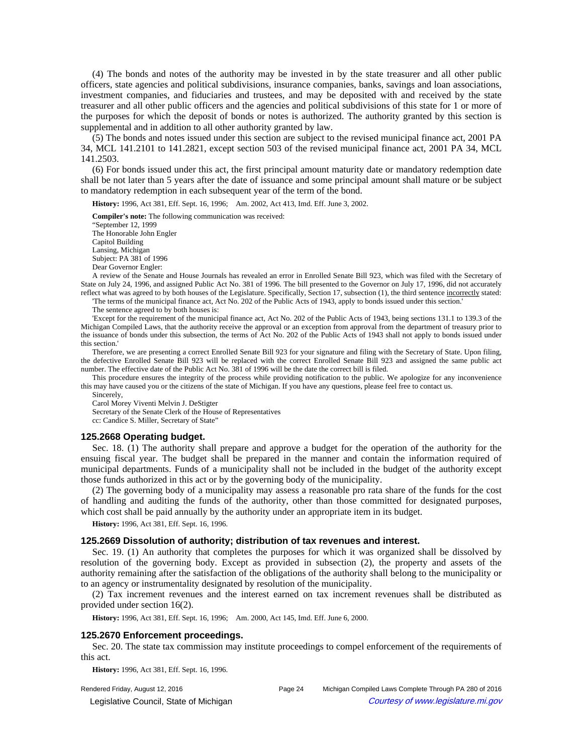(4) The bonds and notes of the authority may be invested in by the state treasurer and all other public officers, state agencies and political subdivisions, insurance companies, banks, savings and loan associations, investment companies, and fiduciaries and trustees, and may be deposited with and received by the state treasurer and all other public officers and the agencies and political subdivisions of this state for 1 or more of the purposes for which the deposit of bonds or notes is authorized. The authority granted by this section is supplemental and in addition to all other authority granted by law.

(5) The bonds and notes issued under this section are subject to the revised municipal finance act, 2001 PA 34, MCL 141.2101 to 141.2821, except section 503 of the revised municipal finance act, 2001 PA 34, MCL 141.2503.

(6) For bonds issued under this act, the first principal amount maturity date or mandatory redemption date shall be not later than 5 years after the date of issuance and some principal amount shall mature or be subject to mandatory redemption in each subsequent year of the term of the bond.

**History:** 1996, Act 381, Eff. Sept. 16, 1996;—Am. 2002, Act 413, Imd. Eff. June 3, 2002.

**Compiler's note:** The following communication was received: "September 12, 1999 The Honorable John Engler Capitol Building Lansing, Michigan Subject: PA 381 of 1996 Dear Governor Engler:

A review of the Senate and House Journals has revealed an error in Enrolled Senate Bill 923, which was filed with the Secretary of State on July 24, 1996, and assigned Public Act No. 381 of 1996. The bill presented to the Governor on July 17, 1996, did not accurately reflect what was agreed to by both houses of the Legislature. Specifically, Section 17, subsection (1), the third sentence incorrectly stated:

'The terms of the municipal finance act, Act No. 202 of the Public Acts of 1943, apply to bonds issued under this section.' The sentence agreed to by both houses is:

'Except for the requirement of the municipal finance act, Act No. 202 of the Public Acts of 1943, being sections 131.1 to 139.3 of the Michigan Compiled Laws, that the authority receive the approval or an exception from approval from the department of treasury prior to the issuance of bonds under this subsection, the terms of Act No. 202 of the Public Acts of 1943 shall not apply to bonds issued under this section.'

Therefore, we are presenting a correct Enrolled Senate Bill 923 for your signature and filing with the Secretary of State. Upon filing, the defective Enrolled Senate Bill 923 will be replaced with the correct Enrolled Senate Bill 923 and assigned the same public act number. The effective date of the Public Act No. 381 of 1996 will be the date the correct bill is filed.

This procedure ensures the integrity of the process while providing notification to the public. We apologize for any inconvenience this may have caused you or the citizens of the state of Michigan. If you have any questions, please feel free to contact us.

Sincerely, Carol Morey Viventi Melvin J. DeStigter Secretary of the Senate Clerk of the House of Representatives cc: Candice S. Miller, Secretary of State"

#### **125.2668 Operating budget.**

Sec. 18. (1) The authority shall prepare and approve a budget for the operation of the authority for the ensuing fiscal year. The budget shall be prepared in the manner and contain the information required of municipal departments. Funds of a municipality shall not be included in the budget of the authority except those funds authorized in this act or by the governing body of the municipality.

(2) The governing body of a municipality may assess a reasonable pro rata share of the funds for the cost of handling and auditing the funds of the authority, other than those committed for designated purposes, which cost shall be paid annually by the authority under an appropriate item in its budget.

**History:** 1996, Act 381, Eff. Sept. 16, 1996.

#### **125.2669 Dissolution of authority; distribution of tax revenues and interest.**

Sec. 19. (1) An authority that completes the purposes for which it was organized shall be dissolved by resolution of the governing body. Except as provided in subsection (2), the property and assets of the authority remaining after the satisfaction of the obligations of the authority shall belong to the municipality or to an agency or instrumentality designated by resolution of the municipality.

(2) Tax increment revenues and the interest earned on tax increment revenues shall be distributed as provided under section 16(2).

History: 1996, Act 381, Eff. Sept. 16, 1996;-Am. 2000, Act 145, Imd. Eff. June 6, 2000.

### **125.2670 Enforcement proceedings.**

Sec. 20. The state tax commission may institute proceedings to compel enforcement of the requirements of this act.

**History:** 1996, Act 381, Eff. Sept. 16, 1996.